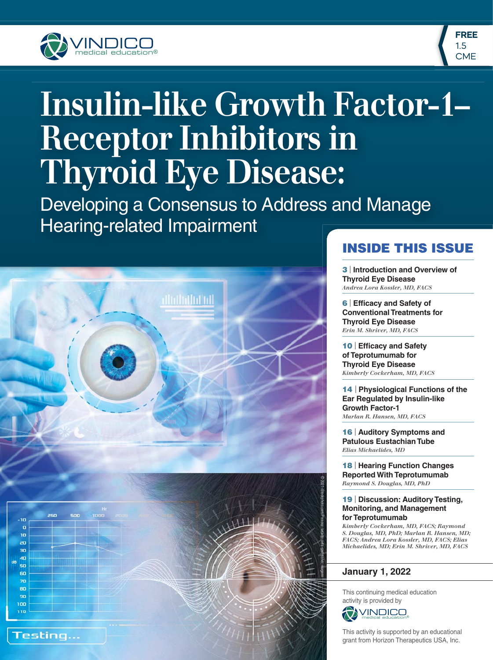



# **Insulin-like Growth Factor-1– Receptor Inhibitors in Thyroid Eye Disease:**

Developing a Consensus to Address and Manage Hearing-related Impairment



### **INSIDE THIS ISSUE**

**3** | **Introduction and Overview of Thyroid Eye Disease** *Andrea Lora Kossler, MD, FACS*

**6** | Efficacy and Safety of **Conventional Treatments for Thyroid Eye Disease** *Erin M. Shriver, MD, FACS*

**10** | Efficacy and Safety **of Teprotumumab for Thyroid Eye Disease** *Kimberly Cockerham, MD, FACS*

**14** | **Physiological Functions of the Ear Regulated by Insulin-like Growth Factor-1** *Marlan R. Hansen, MD, FACS*

**16** | **Auditory Symptoms and Patulous Eustachian Tube** *Elias Michaelides, MD*

**18** | **Hearing Function Changes Reported With Teprotumumab** *Raymond S. Douglas, MD, PhD*

#### **19** | **Discussion: Auditory Testing, Monitoring, and Management for Teprotumumab**

*Kimberly Cockerham, MD, FACS; Raymond S. Douglas, MD, PhD; Marlan R. Hansen, MD; FACS; Andrea Lora Kossler, MD, FACS; Elias Michaelides, MD; Erin M. Shriver, MD, FACS*

#### **January 1, 2022**

This continuing medical education activity is provided by



This activity is supported by an educational grant from Horizon Therapeutics USA, Inc.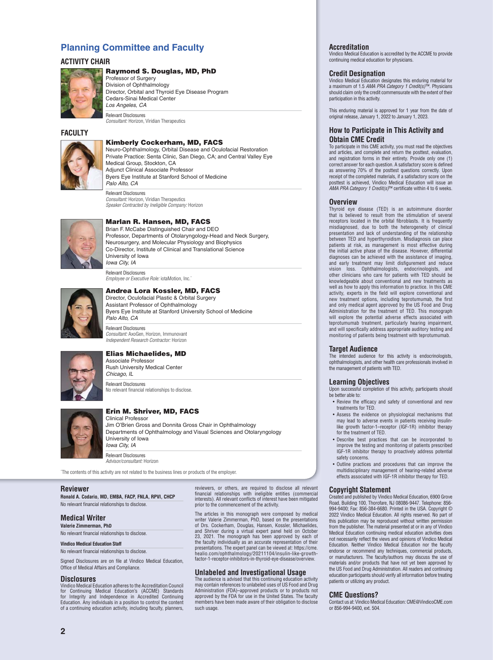#### **Planning Committee and Faculty**

#### **ACTIVITY CHAIR**



#### **Raymond S. Douglas, MD, PhD**

Professor of Surgery Division of Ophthalmology Director, Orbital and Thyroid Eye Disease Program Cedars-Sinai Medical Center *Los Angeles, CA* Relevant Disclosures

*Consultant:* Horizon, Viridian Therapeutics

#### **FACULTY**

#### **Kimberly Cockerham, MD, FACS**

Neuro-Ophthalmology, Orbital Disease and Oculofacial Restoration Private Practice: Senta Clinic, San Diego, CA; and Central Valley Eye Medical Group, Stockton, CA Adjunct Clinical Associate Professor Byers Eye Institute at Stanford School of Medicine *Palo Alto, CA*

Relevant Disclosures *Consultant:* Horizon, Viridian Therapeutics *Speaker Contracted by Ineligible Company:* Horizon



#### **Marlan R. Hansen, MD, FACS** Brian F. McCabe Distinguished Chair and DEO

Professor, Departments of Otolaryngology-Head and Neck Surgery, Neurosurgery, and Molecular Physiology and Biophysics Co-Director, Institute of Clinical and Translational Science University of Iowa *Iowa City, IA*

Relevant Disclosures *Employee or Executive Role:* iotaMotion, Inc.\*

#### **Andrea Lora Kossler, MD, FACS**



Director, Oculofacial Plastic & Orbital Surgery Assistant Professor of Ophthalmology Byers Eye Institute at Stanford University School of Medicine *Palo Alto, CA*

Relevant Disclosures *Consultant:* AxoGen, Horizon, Immunovant *Independent Research Contractor:* Horizon



#### **Elias Michaelides, MD**

Associate Professor Rush University Medical Center *Chicago, IL*

Relevant Disclosures No relevant financial relationships to disclose.

#### **Erin M. Shriver, MD, FACS** Clinical Professor

Jim O'Brien Gross and Donnita Gross Chair in Ophthalmology Departments of Ophthalmology and Visual Sciences and Otolaryngology University of Iowa *Iowa City, IA*

Relevant Disclosures *Advisor/consultant:* Horizon

\* The contents of this activity are not related to the business lines or products of the employer.

#### **Reviewer**

**Ronald A. Codario, MD, EMBA, FACP, FNLA, RPVI, CHCP** No relevant financial relationships to disclose.

#### **Medical Writer**

**Valerie Zimmerman, PhD** No relevant financial relationships to disclose.

#### **Vindico Medical Education Staff**

No relevant financial relationships to disclose

Signed Disclosures are on file at Vindico Medical Education, Office of Medical Affairs and Compliance.

#### **Disclosures**

Vindico Medical Education adheres to the Accreditation Council for Continuing Medical Education's (ACCME) Standards for Integrity and Independence in Accredited Continuing Education. Any individuals in a position to control the content of a continuing education activity, including faculty, planners,

reviewers, or others, are required to disclose all relevant financial relationships with ineligible entities (commercial<br>interests). All relevant conflicts of interest have been mitigated prior to the commencement of the activity.

The articles in this monograph were composed by medical writer Valerie Zimmerman, PhD, based on the presentations of Drs. Cockerham, Douglas, Hansen, Kossler, Michaelides, and Shriver during a virtual expert panel held on October 23, 2021. The monograph has been approved by each of the faculty individually as an accurate representation of their<br>presentations. The expert panel can be viewed at: https://cme.<br>healio.com/ophthalmology/20211104/insulin-like-growth-<br>factor-1-receptor-inhibitors-in-thyroid-

#### **Unlabeled and Investigational Usage**

The audience is advised that this continuing education activity may contain references to unlabeled uses of US Food and Drug Administration (FDA)–approved products or to products not approved by the FDA for use in the United States. The faculty members have been made aware of their obligation to disclose such usage.

#### **Accreditation**

Vindico Medical Education is accredited by the ACCME to provide continuing medical education for physicians.

#### **Credit Designation**

Vindico Medical Education designates this enduring material for a maximum of 1.5 *AMA PRA Category 1 Credit(s)*™. Physicians should claim only the credit commensurate with the extent of their participation in this activity.

This enduring material is approved for 1 year from the date of original release, January 1, 2022 to January 1, 2023.

#### **How to Participate in This Activity and Obtain CME Credit**

To participate in this CME activity, you must read the objectives and articles, and complete and return the posttest, evaluation, and registration forms in their entirety. Provide only one (1) correct answer for each question. A satisfactory score is defined as answering 70% of the posttest questions correctly. Upon receipt of the completed materials, if a satisfactory score on the posttest is achieved, Vindico Medical Education will issue an *AMA PRA Category 1 Credit(s)*™ certificate within 4 to 6 weeks.

#### **Overview**

Thyroid eye disease (TED) is an autoimmune disorder that is believed to result from the stimulation of several receptors located in the orbital fibroblasts. It is frequently<br>misdiagnosed, due to both the heterogeneity of clinical presentation and lack of understanding of the relationship between TED and hyperthyroidism. Misdiagnosis can place patients at risk, as management is most effective during the initial active phase of the disease. However, differential diagnoses can be achieved with the assistance of imaging, and early treatment may limit disfigurement and reduce vision loss. Ophthalmologists, endocrinologists, and other clinicians who care for patients with TED should be knowledgeable about conventional and new treatments as well as how to apply this information to practice. In this CME activity, experts in the field will explore conventional and new treatment options, including teprotumumab, the first and only medical agent approved by the US Food and Drug Administration for the treatment of TED. This monograph will explore the potential adverse effects associated with teprotumumab treatment, particularly hearing impairment, and will specifically address appropriate auditory testing and monitoring of patients being treatment with teprotumumab.

#### **Target Audience**

The intended audience for this activity is endocrinologists, ophthalmologists, and other health care professionals involved in the management of patients with TED.

#### **Learning Objectives**

Upon successful completion of this activity, participants should be better able to:

- $\bullet$  Review the efficacy and safety of conventional and new treatments for TED.
- Assess the evidence on physiological mechanisms that may lead to adverse events in patients receiving insulinlike growth factor-1–receptor (IGF-1R) inhibitor therapy for the treatment of TED.
- Describe best practices that can be incorporated to improve the testing and monitoring of patients prescribed IGF-1R inhibitor therapy to proactively address potential safety concerns.
- Outline practices and procedures that can improve the multidisciplinary management of hearing-related adverse effects associated with IGF-1R inhibitor therapy for TED.

#### **Copyright Statement**

Created and published by Vindico Medical Education, 6900 Grove Road, Building 100, Thorofare, NJ 08086-9447. Telephone: 856- 994-9400; Fax: 856-384-6680. Printed in the USA. Copyright © 2022 Vindico Medical Education. All rights reserved. No part of this publication may be reproduced without written permission from the publisher. The material presented at or in any of Vindico Medical Education continuing medical education activities does not necessarily reflect the views and opinions of Vindico Medical Education. Neither Vindico Medical Education nor the faculty endorse or recommend any techniques, commercial products, or manufacturers. The faculty/authors may discuss the use of materials and/or products that have not yet been approved by the US Food and Drug Administration. All readers and continuing education participants should verify all information before treating patients or utilizing any product.

#### **CME Questions?**

Contact us at: Vindico Medical Education: CME@VindicoCME.com or 856-994-9400, ext. 504.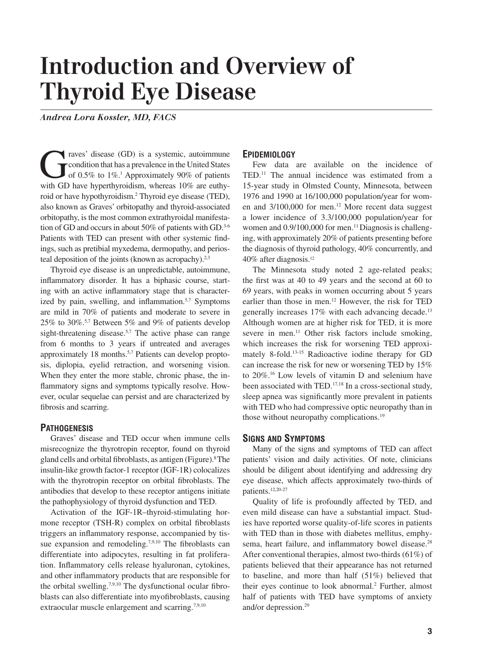# **Introduction and Overview of Thyroid Eye Disease**

*Andrea Lora Kossler, MD, FACS*

Traves' disease (GD) is a systemic, autoimmune<br>condition that has a prevalence in the United States<br>of 0.5% to 1%.<sup>1</sup> Approximately 90% of patients<br>with GD have hyperthyroidism whereas 10% are euthycondition that has a prevalence in the United States of 0.5% to 1%.1 Approximately 90% of patients with GD have hyperthyroidism, whereas 10% are euthyroid or have hypothyroidism.<sup>2</sup> Thyroid eye disease (TED), also known as Graves' orbitopathy and thyroid-associated orbitopathy, is the most common extrathyroidal manifestation of GD and occurs in about 50% of patients with GD.<sup>3-6</sup> Patients with TED can present with other systemic findings, such as pretibial myxedema, dermopathy, and periosteal deposition of the joints (known as acropachy).<sup>2,3</sup>

Thyroid eye disease is an unpredictable, autoimmune, inflammatory disorder. It has a biphasic course, starting with an active inflammatory stage that is characterized by pain, swelling, and inflammation.<sup>5,7</sup> Symptoms are mild in 70% of patients and moderate to severe in 25% to 30%.5,7 Between 5% and 9% of patients develop sight-threatening disease.<sup>5,7</sup> The active phase can range from 6 months to 3 years if untreated and averages approximately 18 months.5,7 Patients can develop proptosis, diplopia, eyelid retraction, and worsening vision. When they enter the more stable, chronic phase, the inflammatory signs and symptoms typically resolve. However, ocular sequelae can persist and are characterized by fibrosis and scarring.

#### **PATHOGENESIS**

Graves' disease and TED occur when immune cells misrecognize the thyrotropin receptor, found on thyroid gland cells and orbital fibroblasts, as antigen (Figure).<sup>8</sup> The insulin-like growth factor-1 receptor (IGF-1R) colocalizes with the thyrotropin receptor on orbital fibroblasts. The antibodies that develop to these receptor antigens initiate the pathophysiology of thyroid dysfunction and TED.

Activation of the IGF-1R–thyroid-stimulating hormone receptor (TSH-R) complex on orbital fibroblasts triggers an inflammatory response, accompanied by tissue expansion and remodeling.<sup>7,9,10</sup> The fibroblasts can differentiate into adipocytes, resulting in fat proliferation. Inflammatory cells release hyaluronan, cytokines, and other inflammatory products that are responsible for the orbital swelling.<sup>7,9,10</sup> The dysfunctional ocular fibroblasts can also differentiate into myofibroblasts, causing extraocular muscle enlargement and scarring.<sup>7,9,10</sup>

#### **EPIDEMIOLOGY**

Few data are available on the incidence of TED.11 The annual incidence was estimated from a 15-year study in Olmsted County, Minnesota, between 1976 and 1990 at 16/100,000 population/year for women and 3/100,000 for men.<sup>12</sup> More recent data suggest a lower incidence of 3.3/100,000 population/year for women and 0.9/100,000 for men.<sup>11</sup> Diagnosis is challenging, with approximately 20% of patients presenting before the diagnosis of thyroid pathology, 40% concurrently, and 40% after diagnosis.12

The Minnesota study noted 2 age-related peaks; the first was at  $40$  to  $49$  years and the second at  $60$  to 69 years, with peaks in women occurring about 5 years earlier than those in men.12 However, the risk for TED generally increases 17% with each advancing decade.<sup>13</sup> Although women are at higher risk for TED, it is more severe in men.<sup>11</sup> Other risk factors include smoking, which increases the risk for worsening TED approximately 8-fold.13-15 Radioactive iodine therapy for GD can increase the risk for new or worsening TED by 15% to 20%.16 Low levels of vitamin D and selenium have been associated with TED.<sup>17,18</sup> In a cross-sectional study, sleep apnea was significantly more prevalent in patients with TED who had compressive optic neuropathy than in those without neuropathy complications.<sup>19</sup>

#### **SIGNS AND SYMPTOMS**

Many of the signs and symptoms of TED can affect patients' vision and daily activities. Of note, clinicians should be diligent about identifying and addressing dry eye disease, which affects approximately two-thirds of patients.12,20-27

Quality of life is profoundly affected by TED, and even mild disease can have a substantial impact. Studies have reported worse quality-of-life scores in patients with TED than in those with diabetes mellitus, emphysema, heart failure, and inflammatory bowel disease.<sup>28</sup> After conventional therapies, almost two-thirds (61%) of patients believed that their appearance has not returned to baseline, and more than half (51%) believed that their eyes continue to look abnormal.<sup>2</sup> Further, almost half of patients with TED have symptoms of anxiety and/or depression.29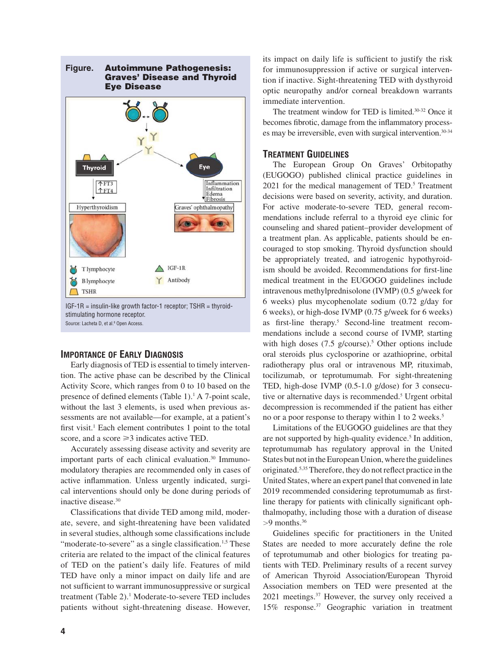

IGF-1R = insulin-like growth factor-1 receptor; TSHR = thyroidstimulating hormone receptor. Source: Lacheta D, et al.<sup>8</sup> Open Access.

#### **IMPORTANCE OF EARLY DIAGNOSIS**

Early diagnosis of TED is essential to timely intervention. The active phase can be described by the Clinical Activity Score, which ranges from 0 to 10 based on the presence of defined elements (Table  $1$ ).<sup>1</sup> A 7-point scale, without the last 3 elements, is used when previous assessments are not available—for example, at a patient's first visit.<sup>1</sup> Each element contributes 1 point to the total score, and a score  $\geq$ 3 indicates active TED.

Accurately assessing disease activity and severity are important parts of each clinical evaluation.30 Immunomodulatory therapies are recommended only in cases of active inflammation. Unless urgently indicated, surgical interventions should only be done during periods of inactive disease.30

Classifications that divide TED among mild, moderate, severe, and sight-threatening have been validated in several studies, although some classifications include "moderate-to-severe" as a single classification. $1,5$  These criteria are related to the impact of the clinical features of TED on the patient's daily life. Features of mild TED have only a minor impact on daily life and are not sufficient to warrant immunosuppressive or surgical treatment (Table 2).<sup>1</sup> Moderate-to-severe TED includes patients without sight-threatening disease. However,

its impact on daily life is sufficient to justify the risk for immunosuppression if active or surgical intervention if inactive. Sight-threatening TED with dysthyroid optic neuropathy and/or corneal breakdown warrants immediate intervention.

The treatment window for TED is limited.30-32 Once it becomes fibrotic, damage from the inflammatory processes may be irreversible, even with surgical intervention.<sup>30-34</sup>

#### **TREATMENT GUIDELINES**

The European Group On Graves' Orbitopathy (EUGOGO) published clinical practice guidelines in 2021 for the medical management of TED.<sup>5</sup> Treatment decisions were based on severity, activity, and duration. For active moderate-to-severe TED, general recommendations include referral to a thyroid eye clinic for counseling and shared patient–provider development of a treatment plan. As applicable, patients should be encouraged to stop smoking. Thyroid dysfunction should be appropriately treated, and iatrogenic hypothyroidism should be avoided. Recommendations for first-line medical treatment in the EUGOGO guidelines include intravenous methylprednisolone (IVMP) (0.5 g/week for 6 weeks) plus mycophenolate sodium (0.72 g/day for 6 weeks), or high-dose IVMP (0.75 g/week for 6 weeks) as first-line therapy.<sup>5</sup> Second-line treatment recommendations include a second course of IVMP, starting with high doses  $(7.5 \text{ g/course})$ .<sup>5</sup> Other options include oral steroids plus cyclosporine or azathioprine, orbital radiotherapy plus oral or intravenous MP, rituximab, tocilizumab, or teprotumumab. For sight-threatening TED, high-dose IVMP (0.5-1.0 g/dose) for 3 consecutive or alternative days is recommended.<sup>5</sup> Urgent orbital decompression is recommended if the patient has either no or a poor response to therapy within 1 to 2 weeks.<sup>5</sup>

Limitations of the EUGOGO guidelines are that they are not supported by high-quality evidence.<sup>5</sup> In addition, teprotumumab has regulatory approval in the United States but not in the European Union, where the guidelines originated.<sup>5,35</sup> Therefore, they do not reflect practice in the United States, where an expert panel that convened in late 2019 recommended considering teprotumumab as firstline therapy for patients with clinically significant ophthalmopathy, including those with a duration of disease  $>9$  months.<sup>36</sup>

Guidelines specific for practitioners in the United States are needed to more accurately define the role of teprotumumab and other biologics for treating patients with TED. Preliminary results of a recent survey of American Thyroid Association/European Thyroid Association members on TED were presented at the 2021 meetings.37 However, the survey only received a 15% response.37 Geographic variation in treatment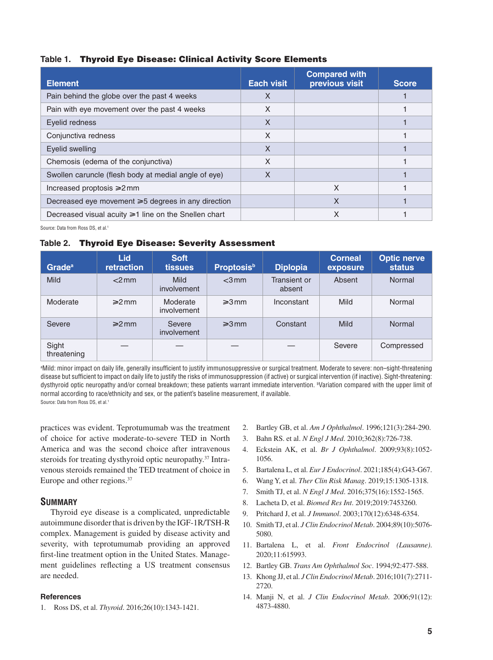#### **Table 1. Thyroid Eye Disease: Clinical Activity Score Elements**

| <b>Element</b>                                           | <b>Each visit</b> | <b>Compared with</b><br>previous visit | <b>Score</b> |
|----------------------------------------------------------|-------------------|----------------------------------------|--------------|
| Pain behind the globe over the past 4 weeks              | X                 |                                        |              |
| Pain with eye movement over the past 4 weeks             | X                 |                                        |              |
| Evelid redness                                           | X                 |                                        |              |
| Conjunctiva redness                                      | X                 |                                        |              |
| Evelid swelling                                          | X                 |                                        |              |
| Chemosis (edema of the conjunctiva)                      | X                 |                                        |              |
| Swollen caruncle (flesh body at medial angle of eye)     | X                 |                                        |              |
| Increased proptosis $\geq 2$ mm                          |                   | X                                      |              |
| Decreased eye movement $\geq 5$ degrees in any direction |                   | X                                      |              |
| Decreased visual acuity ≥1 line on the Snellen chart     |                   | X                                      |              |

Source: Data from Ross DS, et al.<sup>1</sup>

#### **Table 2. Thyroid Eye Disease: Severity Assessment**

| <b>Grade</b> <sup>a</sup> | <b>Lid</b><br><b>retraction</b> | <b>Soft</b><br><b>tissues</b> | <b>Proptosis</b> <sup>b</sup> | <b>Diplopia</b>        | <b>Corneal</b><br>exposure | <b>Optic nerve</b><br><b>status</b> |
|---------------------------|---------------------------------|-------------------------------|-------------------------------|------------------------|----------------------------|-------------------------------------|
| <b>Mild</b>               | $<$ 2 mm                        | Mild<br>involvement           | $<$ 3 mm                      | Transient or<br>absent | Absent                     | Normal                              |
| Moderate                  | $\geq 2$ mm                     | Moderate<br>involvement       | $\geq 3$ mm                   | Inconstant             | Mild                       | Normal                              |
| Severe                    | $\geq 2$ mm                     | Severe<br><i>involvement</i>  | $\geq 3$ mm                   | Constant               | Mild                       | Normal                              |
| Sight<br>threatening      |                                 |                               |                               |                        | Severe                     | Compressed                          |

ªMild: minor impact on daily life, generally insufficient to justify immunosuppressive or surgical treatment. Moderate to severe: non–sight-threatening disease but sufficient to impact on daily life to justify the risks of immunosuppression (if active) or surgical intervention (if inactive). Sight-threatening: dysthyroid optic neuropathy and/or corneal breakdown; these patients warrant immediate intervention. b Variation compared with the upper limit of normal according to race/ethnicity and sex, or the patient's baseline measurement, if available. Source: Data from Ross DS, et al.1

practices was evident. Teprotumumab was the treatment of choice for active moderate-to-severe TED in North America and was the second choice after intravenous steroids for treating dysthyroid optic neuropathy.<sup>37</sup> Intravenous steroids remained the TED treatment of choice in Europe and other regions.<sup>37</sup>

#### **SUMMARY**

Thyroid eye disease is a complicated, unpredictable autoimmune disorder that is driven by the IGF-1R/TSH-R complex. Management is guided by disease activity and severity, with teprotumumab providing an approved first-line treatment option in the United States. Management guidelines reflecting a US treatment consensus are needed.

#### **References**

1. Ross DS, et al. *Thyroid*. 2016;26(10):1343-1421.

- 2. Bartley GB, et al. *Am J Ophthalmol*. 1996;121(3):284-290.
- 3. Bahn RS. et al. *N Engl J Med*. 2010;362(8):726-738.
- 4. Eckstein AK, et al. *Br J Ophthalmol*. 2009;93(8):1052- 1056.
- 5. Bartalena L, et al. *Eur J Endocrinol*. 2021;185(4):G43-G67.
- 6. Wang Y, et al. *Ther Clin Risk Manag*. 2019;15:1305-1318.
- 7. Smith TJ, et al. *N Engl J Med*. 2016;375(16):1552-1565.
- 8. Lacheta D, et al. *Biomed Res Int*. 2019;2019:7453260.
- 9. Pritchard J, et al. *J Immunol*. 2003;170(12):6348-6354.
- 10. Smith TJ, et al. *J Clin Endocrinol Metab*. 2004;89(10):5076- 5080.
- 11. Bartalena L, et al. *Front Endocrinol (Lausanne)*. 2020;11:615993.
- 12. Bartley GB. *Trans Am Ophthalmol Soc*. 1994;92:477-588.
- 13. Khong JJ, et al. *J Clin Endocrinol Metab*. 2016;101(7):2711- 2720.
- 14. Manji N, et al. *J Clin Endocrinol Metab*. 2006;91(12): 4873-4880.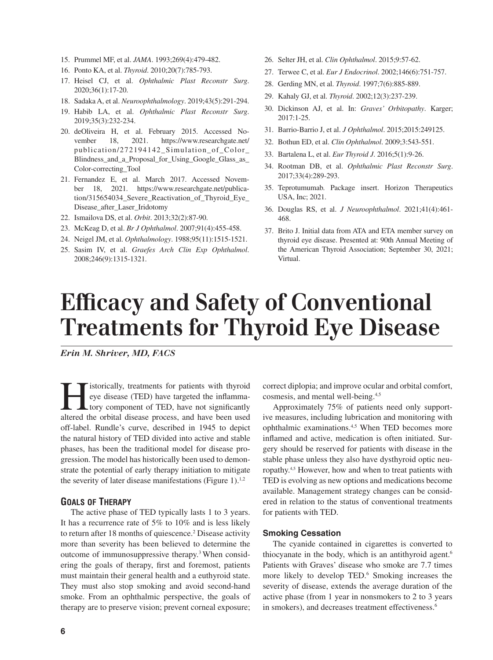- 15. Prummel MF, et al. *JAMA*. 1993;269(4):479-482.
- 16. Ponto KA, et al. *Thyroid*. 2010;20(7):785-793.
- 17. Heisel CJ, et al. *Ophthalmic Plast Reconstr Surg*. 2020;36(1):17-20.
- 18. Sadaka A, et al. *Neuroophthalmology*. 2019;43(5):291-294.
- 19. Habib LA, et al. *Ophthalmic Plast Reconstr Surg*. 2019;35(3):232-234.
- 20. deOliveira H, et al. February 2015. Accessed November 18, 2021. https://www.researchgate.net/ publication/272194142\_Simulation\_of\_Color\_ Blindness\_and\_a\_Proposal\_for\_Using\_Google\_Glass\_as\_ Color-correcting\_Tool
- 21. Fernandez E, et al. March 2017. Accessed November 18, 2021. https://www.researchgate.net/publication/315654034\_Severe\_Reactivation\_of\_Thyroid\_Eye\_ Disease\_after\_Laser\_Iridotomy
- 22. Ismailova DS, et al. *Orbit*. 2013;32(2):87-90.
- 23. McKeag D, et al. *Br J Ophthalmol*. 2007;91(4):455-458.
- 24. Neigel JM, et al. *Ophthalmology*. 1988;95(11):1515-1521.
- 25. Sasim IV, et al. *Graefes Arch Clin Exp Ophthalmol*. 2008;246(9):1315-1321.
- 26. Selter JH, et al. *Clin Ophthalmol*. 2015;9:57-62.
- 27. Terwee C, et al. *Eur J Endocrinol*. 2002;146(6):751-757.
- 28. Gerding MN, et al. *Thyroid*. 1997;7(6):885-889.
- 29. Kahaly GJ, et al. *Thyroid*. 2002;12(3):237-239.
- 30. Dickinson AJ, et al. In: *Graves' Orbitopathy*. Karger; 2017:1-25.
- 31. Barrio-Barrio J, et al. *J Ophthalmol*. 2015;2015:249125.
- 32. Bothun ED, et al. *Clin Ophthalmol*. 2009;3:543-551.
- 33. Bartalena L, et al. *Eur Thyroid J*. 2016;5(1):9-26.
- 34. Rootman DB, et al. *Ophthalmic Plast Reconstr Surg*. 2017;33(4):289-293.
- 35. Teprotumumab. Package insert. Horizon Therapeutics USA, Inc; 2021.
- 36. Douglas RS, et al. *J Neuroophthalmol*. 2021;41(4):461- 468.
- 37. Brito J. Initial data from ATA and ETA member survey on thyroid eye disease. Presented at: 90th Annual Meeting of the American Thyroid Association; September 30, 2021; Virtual.

# **Efficacy and Safety of Conventional Treatments for Thyroid Eye Disease**

*Erin M. Shriver, MD, FACS*

**Hermith** istorically, treatments for patients with thyroid eye disease (TED) have targeted the inflamma-<br>tory component of TED, have not significantly altered the orbital disease process and have been used eye disease (TED) have targeted the inflammatory component of TED, have not significantly altered the orbital disease process, and have been used off-label. Rundle's curve, described in 1945 to depict the natural history of TED divided into active and stable phases, has been the traditional model for disease progression. The model has historically been used to demonstrate the potential of early therapy initiation to mitigate the severity of later disease manifestations (Figure 1).<sup>1,2</sup>

#### **GOALS OF THERAPY**

The active phase of TED typically lasts 1 to 3 years. It has a recurrence rate of 5% to 10% and is less likely to return after 18 months of quiescence.<sup>2</sup> Disease activity more than severity has been believed to determine the outcome of immunosuppressive therapy.3 When considering the goals of therapy, first and foremost, patients must maintain their general health and a euthyroid state. They must also stop smoking and avoid second-hand smoke. From an ophthalmic perspective, the goals of therapy are to preserve vision; prevent corneal exposure;

correct diplopia; and improve ocular and orbital comfort, cosmesis, and mental well-being.4,5

Approximately 75% of patients need only supportive measures, including lubrication and monitoring with ophthalmic examinations.4,5 When TED becomes more inflamed and active, medication is often initiated. Surgery should be reserved for patients with disease in the stable phase unless they also have dysthyroid optic neuropathy.4,5 However, how and when to treat patients with TED is evolving as new options and medications become available. Management strategy changes can be considered in relation to the status of conventional treatments for patients with TED.

#### **Smoking Cessation**

The cyanide contained in cigarettes is converted to thiocyanate in the body, which is an antithyroid agent.<sup>6</sup> Patients with Graves' disease who smoke are 7.7 times more likely to develop TED.<sup>6</sup> Smoking increases the severity of disease, extends the average duration of the active phase (from 1 year in nonsmokers to 2 to 3 years in smokers), and decreases treatment effectiveness.<sup>6</sup>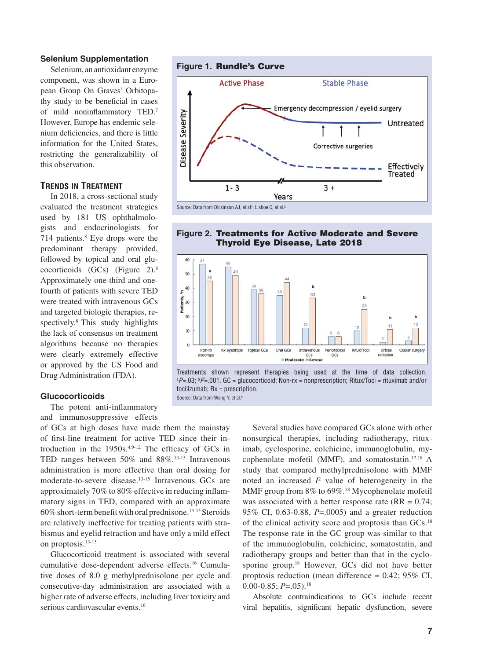#### **Selenium Supplementation**

Selenium, an antioxidant enzyme component, was shown in a European Group On Graves' Orbitopathy study to be beneficial in cases of mild noninflammatory  $\text{TED}$ .<sup>7</sup> However, Europe has endemic selenium deficiencies, and there is little information for the United States, restricting the generalizability of this observation.

#### **TRENDS IN TREATMENT**

In 2018, a cross-sectional study evaluated the treatment strategies used by 181 US ophthalmologists and endocrinologists for 714 patients.8 Eye drops were the predominant therapy provided, followed by topical and oral glucocorticoids (GCs) (Figure 2).8 Approximately one-third and onefourth of patients with severe TED were treated with intravenous GCs and targeted biologic therapies, respectively.<sup>8</sup> This study highlights the lack of consensus on treatment algorithms because no therapies were clearly extremely effective or approved by the US Food and Drug Administration (FDA).

#### **Glucocorticoids**

The potent anti-inflammatory and immunosuppressive effects

of GCs at high doses have made them the mainstay of first-line treatment for active TED since their introduction in the  $1950s^{4,9-12}$  The efficacy of GCs in TED ranges between 50% and 88%.13-15 Intravenous administration is more effective than oral dosing for moderate-to-severe disease.13-15 Intravenous GCs are approximately 70% to 80% effective in reducing inflammatory signs in TED, compared with an approximate  $60\%$  short-term benefit with oral prednisone.<sup>13-15</sup> Steroids are relatively ineffective for treating patients with strabismus and eyelid retraction and have only a mild effect on proptosis.13-15

Glucocorticoid treatment is associated with several cumulative dose-dependent adverse effects.16 Cumulative doses of 8.0 g methylprednisolone per cycle and consecutive-day administration are associated with a higher rate of adverse effects, including liver toxicity and serious cardiovascular events.<sup>16</sup>



#### **Figure 2. Treatments for Active Moderate and Severe Thyroid Eye Disease, Late 2018**



Treatments shown represent therapies being used at the time of data collection. <sup>a</sup>P=.03; <sup>b</sup>P=.001. GC = glucocorticoid; Non-rx = nonprescription; Ritux/Toci = rituximab and/or tocilizumab; Rx = prescription. Source: Data from Wang Y, et al.8

> Several studies have compared GCs alone with other nonsurgical therapies, including radiotherapy, rituximab, cyclosporine, colchicine, immunoglobulin, mycophenolate mofetil (MMF), and somatostatin.17,18 A study that compared methylprednisolone with MMF noted an increased  $I^2$  value of heterogeneity in the MMF group from 8% to 69%.<sup>18</sup> Mycophenolate mofetil was associated with a better response rate  $(RR = 0.74)$ ; 95% CI, 0.63-0.88, *P*=.0005) and a greater reduction of the clinical activity score and proptosis than GCs.18 The response rate in the GC group was similar to that of the immunoglobulin, colchicine, somatostatin, and radiotherapy groups and better than that in the cyclosporine group.18 However, GCs did not have better proptosis reduction (mean difference = 0.42; 95% CI,  $0.00 - 0.85$ ;  $P = .05$ ).<sup>18</sup>

> Absolute contraindications to GCs include recent viral hepatitis, significant hepatic dysfunction, severe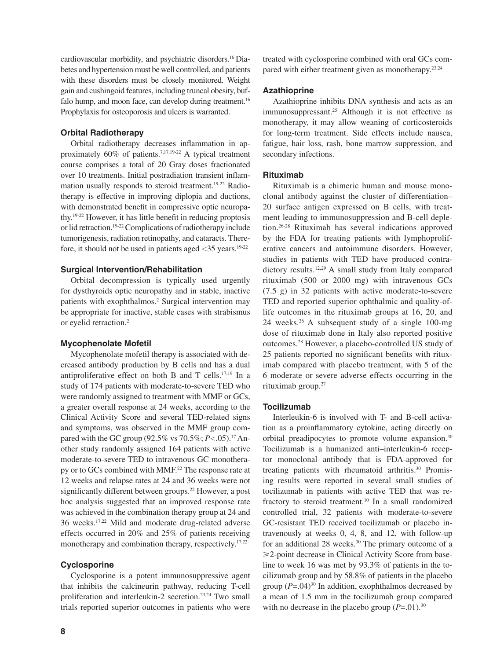cardiovascular morbidity, and psychiatric disorders.16 Diabetes and hypertension must be well controlled, and patients with these disorders must be closely monitored. Weight gain and cushingoid features, including truncal obesity, buffalo hump, and moon face, can develop during treatment.<sup>16</sup> Prophylaxis for osteoporosis and ulcers is warranted.

#### **Orbital Radiotherapy**

Orbital radiotherapy decreases inflammation in approximately 60% of patients.7,17,19-22 A typical treatment course comprises a total of 20 Gray doses fractionated over 10 treatments. Initial postradiation transient inflammation usually responds to steroid treatment.<sup>19-22</sup> Radiotherapy is effective in improving diplopia and ductions, with demonstrated benefit in compressive optic neuropathy.<sup>19-22</sup> However, it has little benefit in reducing proptosis or lid retraction.<sup>19-22</sup> Complications of radiotherapy include tumorigenesis, radiation retinopathy, and cataracts. Therefore, it should not be used in patients aged  $\langle 35 \rangle$  years.<sup>19-22</sup>

#### **Surgical Intervention/Rehabilitation**

Orbital decompression is typically used urgently for dysthyroids optic neuropathy and in stable, inactive patients with exophthalmos.<sup>2</sup> Surgical intervention may be appropriate for inactive, stable cases with strabismus or eyelid retraction.<sup>2</sup>

#### **Mycophenolate Mofetil**

Mycophenolate mofetil therapy is associated with decreased antibody production by B cells and has a dual antiproliferative effect on both B and T cells.<sup>17,19</sup> In a study of 174 patients with moderate-to-severe TED who were randomly assigned to treatment with MMF or GCs, a greater overall response at 24 weeks, according to the Clinical Activity Score and several TED-related signs and symptoms, was observed in the MMF group compared with the GC group (92.5% vs 70.5%; *P*<.05).<sup>17</sup> Another study randomly assigned 164 patients with active moderate-to-severe TED to intravenous GC monotherapy or to GCs combined with MMF.<sup>22</sup> The response rate at 12 weeks and relapse rates at 24 and 36 weeks were not significantly different between groups.<sup>22</sup> However, a post hoc analysis suggested that an improved response rate was achieved in the combination therapy group at 24 and 36 weeks.17,22 Mild and moderate drug-related adverse effects occurred in 20% and 25% of patients receiving monotherapy and combination therapy, respectively.<sup>17,22</sup>

#### **Cyclosporine**

Cyclosporine is a potent immunosuppressive agent that inhibits the calcineurin pathway, reducing T-cell proliferation and interleukin-2 secretion.<sup>23,24</sup> Two small trials reported superior outcomes in patients who were treated with cyclosporine combined with oral GCs compared with either treatment given as monotherapy.<sup>23,24</sup>

#### **Azathioprine**

Azathioprine inhibits DNA synthesis and acts as an immunosuppressant.<sup>25</sup> Although it is not effective as monotherapy, it may allow weaning of corticosteroids for long-term treatment. Side effects include nausea, fatigue, hair loss, rash, bone marrow suppression, and secondary infections.

#### **Rituximab**

Rituximab is a chimeric human and mouse monoclonal antibody against the cluster of differentiation– 20 surface antigen expressed on B cells, with treatment leading to immunosuppression and B-cell depletion.26-28 Rituximab has several indications approved by the FDA for treating patients with lymphoproliferative cancers and autoimmune disorders. However, studies in patients with TED have produced contradictory results.<sup>12,29</sup> A small study from Italy compared rituximab (500 or 2000 mg) with intravenous GCs (7.5 g) in 32 patients with active moderate-to-severe TED and reported superior ophthalmic and quality-oflife outcomes in the rituximab groups at 16, 20, and 24 weeks.26 A subsequent study of a single 100-mg dose of rituximab done in Italy also reported positive outcomes.28 However, a placebo-controlled US study of 25 patients reported no significant benefits with rituximab compared with placebo treatment, with 5 of the 6 moderate or severe adverse effects occurring in the rituximab group. $27$ 

#### **Tocilizumab**

Interleukin-6 is involved with T- and B-cell activation as a proinflammatory cytokine, acting directly on orbital preadipocytes to promote volume expansion.30 Tocilizumab is a humanized anti–interleukin-6 receptor monoclonal antibody that is FDA-approved for treating patients with rheumatoid arthritis.<sup>30</sup> Promising results were reported in several small studies of tocilizumab in patients with active TED that was refractory to steroid treatment.10 In a small randomized controlled trial, 32 patients with moderate-to-severe GC-resistant TED received tocilizumab or placebo intravenously at weeks 0, 4, 8, and 12, with follow-up for an additional 28 weeks.<sup>30</sup> The primary outcome of a -2-point decrease in Clinical Activity Score from baseline to week 16 was met by 93.3% of patients in the tocilizumab group and by 58.8% of patients in the placebo group  $(P=.04)^{30}$  In addition, exophthalmos decreased by a mean of 1.5 mm in the tocilizumab group compared with no decrease in the placebo group  $(P=.01).^{30}$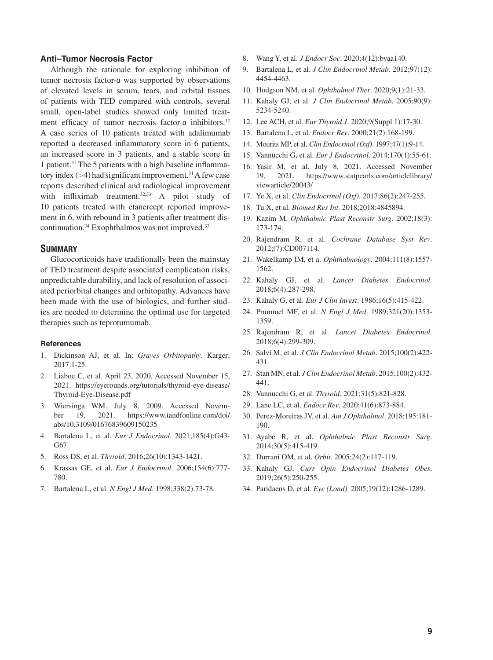#### **Anti–Tumor Necrosis Factor**

Although the rationale for exploring inhibition of tumor necrosis factor-α was supported by observations of elevated levels in serum, tears, and orbital tissues of patients with TED compared with controls, several small, open-label studies showed only limited treatment efficacy of tumor necrosis factor-α inhibitors.<sup>12</sup> A case series of 10 patients treated with adalimumab reported a decreased inflammatory score in 6 patients, an increased score in 3 patients, and a stable score in 1 patient.<sup>31</sup> The 5 patients with a high baseline inflammatory index  $(>4)$  had significant improvement.<sup>31</sup> A few case reports described clinical and radiological improvement with infliximab treatment. $32,33$  A pilot study of 10 patients treated with etanercept reported improvement in 6, with rebound in 3 patients after treatment discontinuation.<sup>34</sup> Exophthalmos was not improved.<sup>33</sup>

#### **SUMMARY**

Glucocorticoids have traditionally been the mainstay of TED treatment despite associated complication risks, unpredictable durability, and lack of resolution of associated periorbital changes and orbitopathy. Advances have been made with the use of biologics, and further studies are needed to determine the optimal use for targeted therapies such as teprotumumab.

#### **References**

- 1. Dickinson AJ, et al. In: *Graves Orbitopathy*. Karger; 2017:1-25.
- 2. Liaboe C, et al. April 23, 2020. Accessed November 15, 2021. https://eyerounds.org/tutorials/thyroid-eye-disease/ Thyroid-Eye-Disease.pdf
- 3. Wiersinga WM. July 8, 2009. Accessed November 19, 2021. https://www.tandfonline.com/doi/ abs/10.3109/01676839609150235
- 4. Bartalena L, et al. *Eur J Endocrinol*. 2021;185(4):G43- G67.
- 5. Ross DS, et al. *Thyroid*. 2016;26(10):1343-1421.
- 6. Krassas GE, et al. *Eur J Endocrinol*. 2006;154(6):777- 780.
- 7. Bartalena L, et al. *N Engl J Med*. 1998;338(2):73-78.
- 8. Wang Y, et al. *J Endocr Soc*. 2020;4(12):bvaa140.
- 9. Bartalena L, et al. *J Clin Endocrinol Metab*. 2012;97(12): 4454-4463.
- 10. Hodgson NM, et al. *Ophthalmol Ther*. 2020;9(1):21-33.
- 11. Kahaly GJ, et al. *J Clin Endocrinol Metab*. 2005;90(9): 5234-5240.
- 12. Lee ACH, et al. *Eur Thyroid J*. 2020;9(Suppl 1):17-30.
- 13. Bartalena L, et al. *Endocr Rev*. 2000;21(2):168-199.
- 14. Mourits MP, et al. *Clin Endocrinol (Oxf)*. 1997;47(1):9-14.
- 15. Vannucchi G, et al. *Eur J Endocrinol*. 2014;170(1):55-61.
- 16. Yasir M, et al. July 8, 2021. Accessed November 19, 2021. https://www.statpearls.com/articlelibrary/ viewarticle/20043/
- 17. Ye X, et al. *Clin Endocrinol (Oxf)*. 2017;86(2):247-255.
- 18. Tu X, et al. *Biomed Res Int*. 2018;2018:4845894.
- 19. Kazim M. *Ophthalmic Plast Reconstr Surg*. 2002;18(3): 173-174.
- 20. Rajendram R, et al. *Cochrane Database Syst Rev*. 2012;(7):CD007114.
- 21. Wakelkamp IM, et a. *Ophthalmology*. 2004;111(8):1557- 1562.
- 22. Kahaly GJ, et al. *Lancet Diabetes Endocrinol*. 2018;6(4):287-298.
- 23. Kahaly G, et al. *Eur J Clin Invest*. 1986;16(5):415-422.
- 24. Prummel MF, et al. *N Engl J Med*. 1989;321(20):1353- 1359.
- 25. Rajendram R, et al. *Lancet Diabetes Endocrinol*. 2018;6(4):299-309.
- 26. Salvi M, et al. *J Clin Endocrinol Metab*. 2015;100(2):422- 431.
- 27. Stan MN, et al. *J Clin Endocrinol Metab*. 2015;100(2):432- 441.
- 28. Vannucchi G, et al. *Thyroid*. 2021;31(5):821-828.
- 29. Lane LC, et al. *Endocr Rev*. 2020;41(6):873-884.
- 30. Perez-Moreiras JV, et al. *Am J Ophthalmol*. 2018;195:181- 190.
- 31. Ayabe R, et al. *Ophthalmic Plast Reconstr Surg*. 2014;30(5):415-419.
- 32. Durrani OM, et al. *Orbit*. 2005;24(2):117-119.
- 33. Kahaly GJ. *Curr Opin Endocrinol Diabetes Obes*. 2019;26(5):250-255.
- 34. Paridaens D, et al. *Eye (Lond)*. 2005;19(12):1286-1289.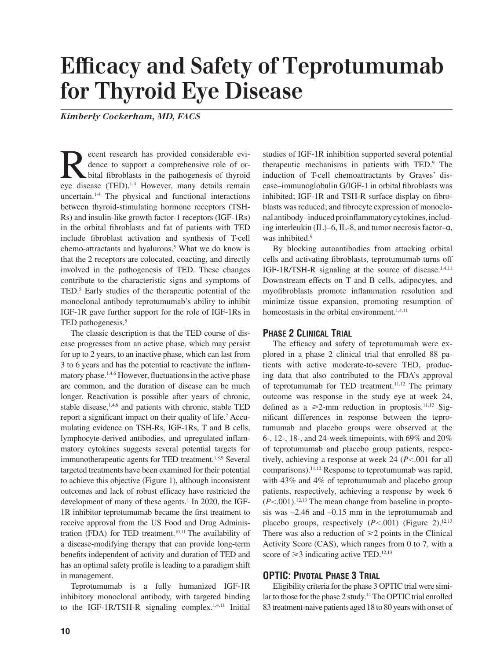# **Efficacy and Safety of Teprotumumab for Thyroid Eye Disease**

*Kimberly Cockerham, MD, FACS*

Recent research has provided considerable evidence to support a comprehensive role of or-<br>bital fibroblasts in the pathogenesis of thyroid<br>events disease (TED)<sup>14</sup> However many details remain dence to support a comprehensive role of orbital fibroblasts in the pathogenesis of thyroid eye disease (TED).<sup>1-4</sup> However, many details remain uncertain.1-4 The physical and functional interactions between thyroid-stimulating hormone receptors (TSH-Rs) and insulin-like growth factor-1 receptors (IGF-1Rs) in the orbital fibroblasts and fat of patients with TED include fibroblast activation and synthesis of T-cell chemo-attractants and hyalurons.<sup>5</sup> What we do know is that the 2 receptors are colocated, coacting, and directly involved in the pathogenesis of TED. These changes contribute to the characteristic signs and symptoms of TED.<sup>5</sup> Early studies of the therapeutic potential of the monoclonal antibody teprotumumab's ability to inhibit IGF-1R gave further support for the role of IGF-1Rs in TED pathogenesis.<sup>5</sup>

The classic description is that the TED course of disease progresses from an active phase, which may persist for up to 2 years, to an inactive phase, which can last from 3 to 6 years and has the potential to reactivate the inflammatory phase.<sup>1,4,6</sup> However, fluctuations in the active phase are common, and the duration of disease can be much longer. Reactivation is possible after years of chronic, stable disease, $1,4,6$  and patients with chronic, stable TED report a significant impact on their quality of life.<sup>7</sup> Accumulating evidence on TSH-Rs, IGF-1Rs, T and B cells, lymphocyte-derived antibodies, and upregulated inflammatory cytokines suggests several potential targets for immunotherapeutic agents for TED treatment.<sup>1,8,9</sup> Several targeted treatments have been examined for their potential to achieve this objective (Figure 1), although inconsistent outcomes and lack of robust efficacy have restricted the development of many of these agents.<sup>1</sup> In 2020, the IGF-1R inhibitor teprotumumab became the first treatment to receive approval from the US Food and Drug Administration (FDA) for TED treatment. $10,11$  The availability of a disease-modifying therapy that can provide long-term benefits independent of activity and duration of TED and has an optimal safety profile is leading to a paradigm shift in management.

Teprotumumab is a fully humanized IGF-1R inhibitory monoclonal antibody, with targeted binding to the IGF-1R/TSH-R signaling complex.<sup>1,4,11</sup> Initial

studies of IGF-1R inhibition supported several potential therapeutic mechanisms in patients with TED.<sup>9</sup> The induction of T-cell chemoattractants by Graves' disease-immunoglobulin G/IGF-1 in orbital fibroblasts was inhibited; IGF-1R and TSH-R surface display on fibroblasts was reduced; and fibrocyte expression of monoclonal antibody–induced proinflammatory cytokines, including interleukin (IL)–6, IL-8, and tumor necrosis factor–α, was inhibited.<sup>9</sup>

By blocking autoantibodies from attacking orbital cells and activating fibroblasts, teprotumumab turns off IGF-1R/TSH-R signaling at the source of disease.<sup>1,4,11</sup> Downstream effects on T and B cells, adipocytes, and myofibroblasts promote inflammation resolution and minimize tissue expansion, promoting resumption of homeostasis in the orbital environment.<sup>1,4,11</sup>

#### **PHASE 2 CLINICAL TRIAL**

The efficacy and safety of teprotumumab were explored in a phase 2 clinical trial that enrolled 88 patients with active moderate-to-severe TED, producing data that also contributed to the FDA's approval of teprotumumab for TED treatment.<sup>11,12</sup> The primary outcome was response in the study eye at week 24, defined as a  $\geq 2$ -mm reduction in proptosis.<sup>11,12</sup> Significant differences in response between the teprotumumab and placebo groups were observed at the 6-, 12-, 18-, and 24-week timepoints, with 69% and 20% of teprotumumab and placebo group patients, respectively, achieving a response at week  $24$  ( $P < .001$  for all comparisons).11,12 Response to teprotumumab was rapid, with 43% and 4% of teprotumumab and placebo group patients, respectively, achieving a response by week 6  $(P<.001)$ .<sup>12,13</sup> The mean change from baseline in proptosis was –2.46 and –0.15 mm in the teprotumumab and placebo groups, respectively  $(P<.001)$  (Figure 2).<sup>12,13</sup> There was also a reduction of  $\geq 2$  points in the Clinical Activity Score (CAS), which ranges from 0 to 7, with a score of  $\geq$ 3 indicating active TED.<sup>12,13</sup>

#### **OPTIC: PIVOTAL PHASE 3 TRIAL**

Eligibility criteria for the phase 3 OPTIC trial were similar to those for the phase 2 study.<sup>14</sup> The OPTIC trial enrolled 83 treatment-naive patients aged 18 to 80 years with onset of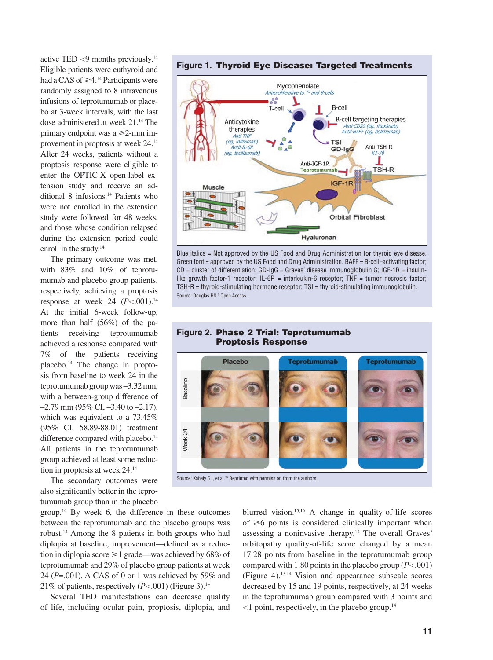active TED  $<$ 9 months previously.<sup>14</sup> Eligible patients were euthyroid and had a CAS of  $\geq 4$ .<sup>14</sup> Participants were randomly assigned to 8 intravenous infusions of teprotumumab or placebo at 3-week intervals, with the last dose administered at week 21.14 The primary endpoint was a  $\geq 2$ -mm improvement in proptosis at week 24.14 After 24 weeks, patients without a proptosis response were eligible to enter the OPTIC-X open-label extension study and receive an additional 8 infusions.<sup>14</sup> Patients who were not enrolled in the extension study were followed for 48 weeks, and those whose condition relapsed during the extension period could enroll in the study.<sup>14</sup>

The primary outcome was met, with 83% and 10% of teprotumumab and placebo group patients, respectively, achieving a proptosis response at week 24  $(P<.001)^{14}$ At the initial 6-week follow-up, more than half (56%) of the patients receiving teprotumumab achieved a response compared with 7% of the patients receiving placebo.14 The change in proptosis from baseline to week 24 in the teprotumumab group was –3.32 mm, with a between-group difference of  $-2.79$  mm (95% CI,  $-3.40$  to  $-2.17$ ), which was equivalent to a 73.45% (95% CI, 58.89-88.01) treatment difference compared with placebo.<sup>14</sup> All patients in the teprotumumab group achieved at least some reduction in proptosis at week 24.14

The secondary outcomes were also significantly better in the teprotumumab group than in the placebo



Several TED manifestations can decrease quality of life, including ocular pain, proptosis, diplopia, and

blurred vision.15,16 A change in quality-of-life scores of  $\geq 6$  points is considered clinically important when assessing a noninvasive therapy.14 The overall Graves' orbitopathy quality-of-life score changed by a mean 17.28 points from baseline in the teprotumumab group compared with 1.80 points in the placebo group  $(P<.001)$ (Figure 4).13,14 Vision and appearance subscale scores decreased by 15 and 19 points, respectively, at 24 weeks in the teprotumumab group compared with 3 points and  $1$  point, respectively, in the placebo group.<sup>14</sup>



Blue italics = Not approved by the US Food and Drug Administration for thyroid eye disease. Green font = approved by the US Food and Drug Administration. BAFF = B-cell–activating factor;  $CD =$  cluster of differentiation;  $GD$ -IgG = Graves' disease immunoglobulin G; IGF-1R = insulinlike growth factor-1 receptor; IL-6R = interleukin-6 receptor; TNF = tumor necrosis factor; TSH-R = thyroid-stimulating hormone receptor; TSI = thyroid-stimulating immunoglobulin. Source: Douglas RS.<sup>1</sup> Open Access.

#### **Figure 2. Phase 2 Trial: Teprotumumab Proptosis Response**



Source: Kahaly GJ, et al.<sup>13</sup> Reprinted with permission from the authors.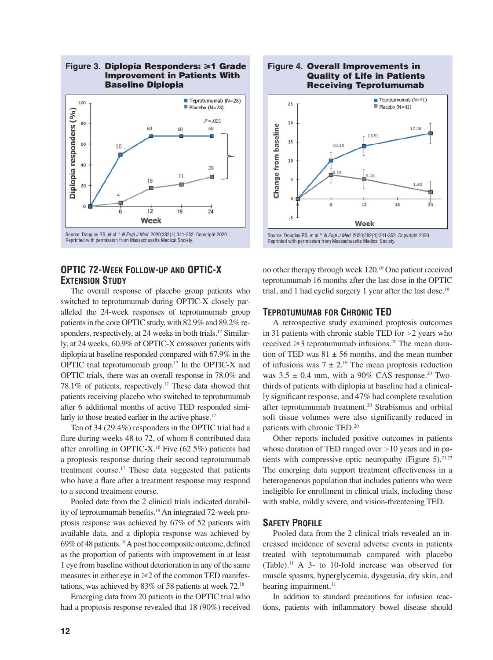

#### **OPTIC 72-WEEK FOLLOW-UP AND OPTIC-X EXTENSION STUDY**

The overall response of placebo group patients who switched to teprotumumab during OPTIC-X closely paralleled the 24-week responses of teprotumumab group patients in the core OPTIC study, with 82.9% and 89.2% responders, respectively, at 24 weeks in both trials.<sup>17</sup> Similarly, at 24 weeks, 60.9% of OPTIC-X crossover patients with diplopia at baseline responded compared with 67.9% in the OPTIC trial teprotumumab group.17 In the OPTIC-X and OPTIC trials, there was an overall response in 78.0% and 78.1% of patients, respectively.17 These data showed that patients receiving placebo who switched to teprotumumab after 6 additional months of active TED responded similarly to those treated earlier in the active phase.<sup>17</sup>

Ten of 34 (29.4%) responders in the OPTIC trial had a flare during weeks 48 to 72, of whom 8 contributed data after enrolling in OPTIC-X.16 Five (62.5%) patients had a proptosis response during their second teprotumumab treatment course.17 These data suggested that patients who have a flare after a treatment response may respond to a second treatment course.

Pooled date from the 2 clinical trials indicated durability of teprotumumab benefits.<sup>18</sup> An integrated 72-week proptosis response was achieved by 67% of 52 patients with available data, and a diplopia response was achieved by 69% of 48 patients.<sup>18</sup> A post hoc composite outcome, defined as the proportion of patients with improvement in at least 1 eye from baseline without deterioration in any of the same measures in either eye in  $\geq 2$  of the common TED manifestations, was achieved by 83% of 58 patients at week 72.18

Emerging data from 20 patients in the OPTIC trial who had a proptosis response revealed that 18 (90%) received



no other therapy through week 120.19 One patient received teprotumumab 16 months after the last dose in the OPTIC trial, and 1 had eyelid surgery 1 year after the last dose.<sup>19</sup>

#### **TEPROTUMUMAB FOR CHRONIC TED**

A retrospective study examined proptosis outcomes in 31 patients with chronic stable TED for  $>2$  years who received  $\geq 3$  teprotumumab infusions.<sup>20</sup> The mean duration of TED was  $81 \pm 56$  months, and the mean number of infusions was  $7 \pm 2$ .<sup>19</sup> The mean proptosis reduction was  $3.5 \pm 0.4$  mm, with a 90% CAS response.<sup>20</sup> Twothirds of patients with diplopia at baseline had a clinically significant response, and 47% had complete resolution after teprotumumab treatment.20 Strabismus and orbital soft tissue volumes were also significantly reduced in patients with chronic TED.20

Other reports included positive outcomes in patients whose duration of TED ranged over  $>10$  years and in patients with compressive optic neuropathy (Figure 5).<sup>21,22</sup> The emerging data support treatment effectiveness in a heterogeneous population that includes patients who were ineligible for enrollment in clinical trials, including those with stable, mildly severe, and vision-threatening TED.

#### **SAFETY PROFILE**

Pooled data from the 2 clinical trials revealed an increased incidence of several adverse events in patients treated with teprotumumab compared with placebo (Table).11 A 3- to 10-fold increase was observed for muscle spasms, hyperglycemia, dysgeusia, dry skin, and hearing impairment. $11$ 

In addition to standard precautions for infusion reactions, patients with inflammatory bowel disease should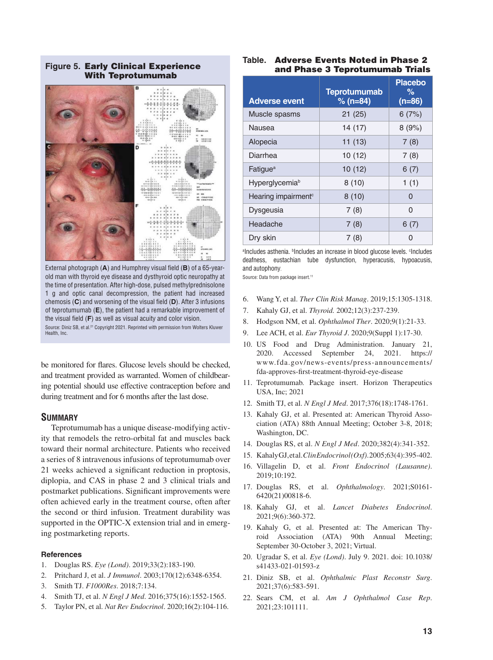**Figure 5. Early Clinical Experience With Teprotumumab**



External photograph (A) and Humphrey visual field (B) of a 65-yearold man with thyroid eye disease and dysthyroid optic neuropathy at the time of presentation. After high-dose, pulsed methylprednisolone 1 g and optic canal decompression, the patient had increased chemosis (C) and worsening of the visual field (D). After 3 infusions of teprotumumab (**E**), the patient had a remarkable improvement of the visual field (F) as well as visual acuity and color vision. Source: Diniz SB, et al.21 Copyright 2021. Reprinted with permission from Wolters Kluwer Health, Inc.

be monitored for flares. Glucose levels should be checked, and treatment provided as warranted. Women of childbearing potential should use effective contraception before and during treatment and for 6 months after the last dose.

#### **SUMMARY**

Teprotumumab has a unique disease-modifying activity that remodels the retro-orbital fat and muscles back toward their normal architecture. Patients who received a series of 8 intravenous infusions of teprotumumab over 21 weeks achieved a significant reduction in proptosis, diplopia, and CAS in phase 2 and 3 clinical trials and postmarket publications. Significant improvements were often achieved early in the treatment course, often after the second or third infusion. Treatment durability was supported in the OPTIC-X extension trial and in emerging postmarketing reports.

#### **References**

- 1. Douglas RS. *Eye (Lond)*. 2019;33(2):183-190.
- 2. Pritchard J, et al. *J Immunol*. 2003;170(12):6348-6354.
- 3. Smith TJ. *F1000Res*. 2018;7:134.
- 4. Smith TJ, et al. *N Engl J Med*. 2016;375(16):1552-1565.
- 5. Taylor PN, et al. *Nat Rev Endocrinol*. 2020;16(2):104-116.

#### **Table. Adverse Events Noted in Phase 2 and Phase 3 Teprotumumab Trials**

| <b>Adverse event</b>            | <b>Teprotumumab</b><br>$% (n=84)$ | <b>Placebo</b><br>℅<br>$(n=86)$ |
|---------------------------------|-----------------------------------|---------------------------------|
| Muscle spasms                   | 21(25)                            | 6(7%)                           |
| Nausea                          | 14 (17)                           | 8(9%)                           |
| Alopecia                        | 11(13)                            | 7(8)                            |
| Diarrhea                        | 10(12)                            | 7(8)                            |
| Fatigue <sup>a</sup>            | 10(12)                            | 6(7)                            |
| Hyperglycemiab                  | 8(10)                             | 1(1)                            |
| Hearing impairment <sup>c</sup> | 8(10)                             | 0                               |
| Dysgeusia                       | 7(8)                              | 0                               |
| Headache                        | 7(8)                              | 6(7)                            |
| Dry skin                        | 7(8)                              | U                               |

alncludes asthenia. **bincludes an increase in blood glucose levels**. Cincludes deafness, eustachian tube dysfunction, hyperacusis, hypoacusis, and autophony.

Source: Data from package insert.<sup>11</sup>

- 6. Wang Y, et al. *Ther Clin Risk Manag*. 2019;15:1305-1318.
- 7. Kahaly GJ, et al. *Thyroid.* 2002;12(3):237-239.
- 8. Hodgson NM, et al. *Ophthalmol Ther*. 2020;9(1):21-33.
- 9. Lee ACH, et al. *Eur Thyroid J*. 2020;9(Suppl 1):17-30.
- 10. US Food and Drug Administration. January 21, 2020. Accessed September 24, 2021. https:// www.fda.gov/news-events/press-announcements/ fda-approves-first-treatment-thyroid-eye-disease
- 11. Teprotumumab. Package insert. Horizon Therapeutics USA, Inc; 2021
- 12. Smith TJ, et al. *N Engl J Med*. 2017;376(18):1748-1761.
- 13. Kahaly GJ, et al. Presented at: American Thyroid Association (ATA) 88th Annual Meeting; October 3-8, 2018; Washington, DC.
- 14. Douglas RS, et al. *N Engl J Med*. 2020;382(4):341-352.
- 15. Kahaly GJ, et al. *Clin Endocrinol (Oxf)*. 2005;63(4):395-402.
- 16. Villagelin D, et al. *Front Endocrinol (Lausanne)*. 2019;10:192.
- 17. Douglas RS, et al. *Ophthalmology*. 2021;S0161- 6420(21)00818-6.
- 18. Kahaly GJ, et al. *Lancet Diabetes Endocrinol*. 2021;9(6):360-372.
- 19. Kahaly G, et al. Presented at: The American Thyroid Association (ATA) 90th Annual Meeting; September 30-October 3, 2021; Virtual.
- 20. Ugradar S, et al. *Eye (Lond)*. July 9. 2021. doi: 10.1038/ s41433-021-01593-z
- 21. Diniz SB, et al. *Ophthalmic Plast Reconstr Surg*. 2021;37(6):583-591.
- 22. Sears CM, et al. *Am J Ophthalmol Case Rep*. 2021;23:101111.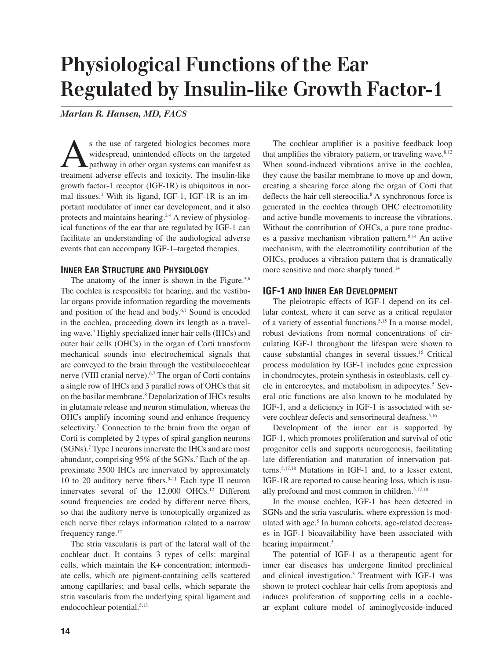## **Physiological Functions of the Ear Regulated by Insulin-like Growth Factor-1**

*Marlan R. Hansen, MD, FACS*

s the use of targeted biologics becomes more widespread, unintended effects on the targeted pathway in other organ systems can manifest as treatment adverse effects and toxicity. The insulin-like growth factor-1 receptor (IGF-1R) is ubiquitous in normal tissues.<sup>1</sup> With its ligand, IGF-1, IGF-1R is an important modulator of inner ear development, and it also protects and maintains hearing.<sup>2-4</sup> A review of physiological functions of the ear that are regulated by IGF-1 can facilitate an understanding of the audiological adverse events that can accompany IGF-1–targeted therapies.

#### **INNER EAR STRUCTURE AND PHYSIOLOGY**

The anatomy of the inner is shown in the Figure.<sup>5,6</sup> The cochlea is responsible for hearing, and the vestibular organs provide information regarding the movements and position of the head and body.<sup>6,7</sup> Sound is encoded in the cochlea, proceeding down its length as a traveling wave.7 Highly specialized inner hair cells (IHCs) and outer hair cells (OHCs) in the organ of Corti transform mechanical sounds into electrochemical signals that are conveyed to the brain through the vestibulocochlear nerve (VIII cranial nerve).<sup>6,7</sup> The organ of Corti contains a single row of IHCs and 3 parallel rows of OHCs that sit on the basilar membrane.8 Depolarization of IHCs results in glutamate release and neuron stimulation, whereas the OHCs amplify incoming sound and enhance frequency selectivity.<sup>7</sup> Connection to the brain from the organ of Corti is completed by 2 types of spiral ganglion neurons (SGNs).7 Type I neurons innervate the IHCs and are most abundant, comprising 95% of the SGNs.<sup>7</sup> Each of the approximate 3500 IHCs are innervated by approximately 10 to 20 auditory nerve fibers. $9-11$  Each type II neuron innervates several of the 12,000 OHCs.<sup>12</sup> Different sound frequencies are coded by different nerve fibers, so that the auditory nerve is tonotopically organized as each nerve fiber relays information related to a narrow frequency range.<sup>12</sup>

The stria vascularis is part of the lateral wall of the cochlear duct. It contains 3 types of cells: marginal cells, which maintain the K+ concentration; intermediate cells, which are pigment-containing cells scattered among capillaries; and basal cells, which separate the stria vascularis from the underlying spiral ligament and endocochlear potential.<sup>5,13</sup>

The cochlear amplifier is a positive feedback loop that amplifies the vibratory pattern, or traveling wave. $8,12$ When sound-induced vibrations arrive in the cochlea, they cause the basilar membrane to move up and down, creating a shearing force along the organ of Corti that deflects the hair cell stereocilia.<sup>8</sup> A synchronous force is generated in the cochlea through OHC electromotility and active bundle movements to increase the vibrations. Without the contribution of OHCs, a pure tone produces a passive mechanism vibration pattern. $8,14$  An active mechanism, with the electromotility contribution of the OHCs, produces a vibration pattern that is dramatically more sensitive and more sharply tuned.<sup>14</sup>

#### **IGF-1 AND INNER EAR DEVELOPMENT**

The pleiotropic effects of IGF-1 depend on its cellular context, where it can serve as a critical regulator of a variety of essential functions.5,15 In a mouse model, robust deviations from normal concentrations of circulating IGF-1 throughout the lifespan were shown to cause substantial changes in several tissues.15 Critical process modulation by IGF-1 includes gene expression in chondrocytes, protein synthesis in osteoblasts, cell cycle in enterocytes, and metabolism in adipocytes.<sup>5</sup> Several otic functions are also known to be modulated by IGF-1, and a deficiency in IGF-1 is associated with severe cochlear defects and sensorineural deafness.<sup>5,16</sup>

Development of the inner ear is supported by IGF-1, which promotes proliferation and survival of otic progenitor cells and supports neurogenesis, facilitating late differentiation and maturation of innervation patterns.5,17,18 Mutations in IGF-1 and, to a lesser extent, IGF-1R are reported to cause hearing loss, which is usually profound and most common in children.<sup>5,17,18</sup>

In the mouse cochlea, IGF-1 has been detected in SGNs and the stria vascularis, where expression is modulated with age.<sup>5</sup> In human cohorts, age-related decreases in IGF-1 bioavailability have been associated with hearing impairment.<sup>5</sup>

The potential of IGF-1 as a therapeutic agent for inner ear diseases has undergone limited preclinical and clinical investigation.3 Treatment with IGF-1 was shown to protect cochlear hair cells from apoptosis and induces proliferation of supporting cells in a cochlear explant culture model of aminoglycoside-induced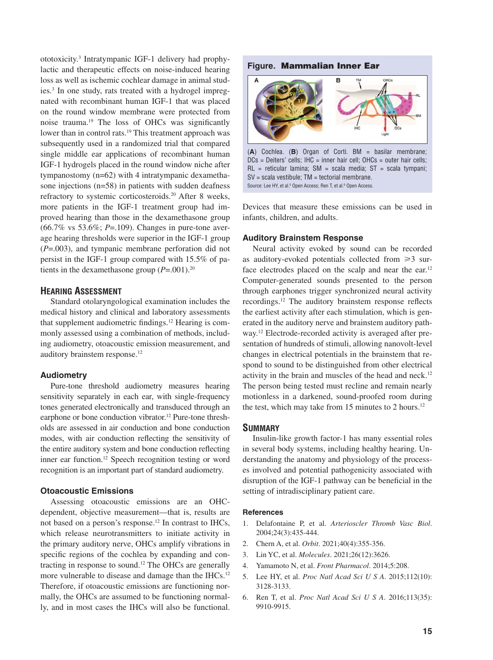ototoxicity.3 Intratympanic IGF-1 delivery had prophylactic and therapeutic effects on noise-induced hearing loss as well as ischemic cochlear damage in animal studies.3 In one study, rats treated with a hydrogel impregnated with recombinant human IGF-1 that was placed on the round window membrane were protected from noise trauma.<sup>19</sup> The loss of OHCs was significantly lower than in control rats.<sup>19</sup> This treatment approach was subsequently used in a randomized trial that compared single middle ear applications of recombinant human IGF-1 hydrogels placed in the round window niche after tympanostomy (n=62) with 4 intratympanic dexamethasone injections (n=58) in patients with sudden deafness refractory to systemic corticosteroids.20 After 8 weeks, more patients in the IGF-1 treatment group had improved hearing than those in the dexamethasone group (66.7% vs 53.6%; *P*=.109). Changes in pure-tone average hearing thresholds were superior in the IGF-1 group (*P*=.003), and tympanic membrane perforation did not persist in the IGF-1 group compared with 15.5% of patients in the dexamethasone group  $(P=.001).^{20}$ 

#### **HEARING ASSESSMENT**

Standard otolaryngological examination includes the medical history and clinical and laboratory assessments that supplement audiometric findings.<sup>12</sup> Hearing is commonly assessed using a combination of methods, including audiometry, otoacoustic emission measurement, and auditory brainstem response.12

#### **Audiometry**

Pure-tone threshold audiometry measures hearing sensitivity separately in each ear, with single-frequency tones generated electronically and transduced through an earphone or bone conduction vibrator.<sup>12</sup> Pure-tone thresholds are assessed in air conduction and bone conduction modes, with air conduction reflecting the sensitivity of the entire auditory system and bone conduction reflecting inner ear function.<sup>12</sup> Speech recognition testing or word recognition is an important part of standard audiometry.

#### **Otoacoustic Emissions**

Assessing otoacoustic emissions are an OHCdependent, objective measurement—that is, results are not based on a person's response.<sup>12</sup> In contrast to IHCs, which release neurotransmitters to initiate activity in the primary auditory nerve, OHCs amplify vibrations in specific regions of the cochlea by expanding and contracting in response to sound.12 The OHCs are generally more vulnerable to disease and damage than the IHCs.<sup>12</sup> Therefore, if otoacoustic emissions are functioning normally, the OHCs are assumed to be functioning normally, and in most cases the IHCs will also be functional.



RL = reticular lamina; SM = scala media; ST = scala tympani; SV = scala vestibule; TM = tectorial membrane. Source: Lee HY, et al.5 Open Access; Ren T, et al.6 Open Access.

Devices that measure these emissions can be used in infants, children, and adults.

#### **Auditory Brainstem Response**

Neural activity evoked by sound can be recorded as auditory-evoked potentials collected from  $\geq 3$  surface electrodes placed on the scalp and near the ear.<sup>12</sup> Computer-generated sounds presented to the person through earphones trigger synchronized neural activity recordings.<sup>12</sup> The auditory brainstem response reflects the earliest activity after each stimulation, which is generated in the auditory nerve and brainstem auditory pathway.12 Electrode-recorded activity is averaged after presentation of hundreds of stimuli, allowing nanovolt-level changes in electrical potentials in the brainstem that respond to sound to be distinguished from other electrical activity in the brain and muscles of the head and neck.<sup>12</sup> The person being tested must recline and remain nearly motionless in a darkened, sound-proofed room during the test, which may take from 15 minutes to 2 hours.<sup>12</sup>

#### **SUMMARY**

Insulin-like growth factor-1 has many essential roles in several body systems, including healthy hearing. Understanding the anatomy and physiology of the processes involved and potential pathogenicity associated with disruption of the IGF-1 pathway can be beneficial in the setting of intradisciplinary patient care.

#### **References**

- 1. Delafontaine P, et al. *Arterioscler Thromb Vasc Biol*. 2004;24(3):435-444.
- 2. Chern A, et al. *Orbit*. 2021;40(4):355-356.
- 3. Lin YC, et al. *Molecules*. 2021;26(12):3626.
- 4. Yamamoto N, et al. *Front Pharmacol*. 2014;5:208.
- 5. Lee HY, et al. *Proc Natl Acad Sci U S A*. 2015;112(10): 3128-3133.
- 6. Ren T, et al. *Proc Natl Acad Sci U S A*. 2016;113(35): 9910-9915.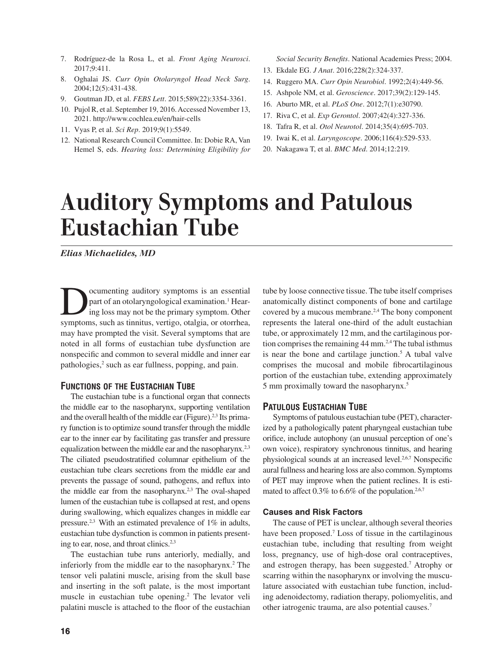- 7. Rodríguez-de la Rosa L, et al. *Front Aging Neurosci*. 2017;9:411.
- 8. Oghalai JS. *Curr Opin Otolaryngol Head Neck Surg*. 2004;12(5):431-438.
- 9. Goutman JD, et al. *FEBS Lett*. 2015;589(22):3354-3361.
- 10. Pujol R, et al. September 19, 2016. Accessed November 13, 2021. http://www.cochlea.eu/en/hair-cells
- 11. Vyas P, et al. *Sci Rep*. 2019;9(1):5549.
- 12. National Research Council Committee. In: Dobie RA, Van Hemel S, eds. *Hearing loss: Determining Eligibility for*

*Social Security Benefits*. National Academies Press; 2004.

- 13. Ekdale EG. *J Anat*. 2016;228(2):324-337.
- 14. Ruggero MA. *Curr Opin Neurobiol*. 1992;2(4):449-56.
- 15. Ashpole NM, et al. *Geroscience*. 2017;39(2):129-145.
- 16. Aburto MR, et al. *PLoS One*. 2012;7(1):e30790.
- 17. Riva C, et al. *Exp Gerontol*. 2007;42(4):327-336.
- 18. Tafra R, et al. *Otol Neurotol*. 2014;35(4):695-703.
- 19. Iwai K, et al. *Laryngoscope*. 2006;116(4):529-533.
- 20. Nakagawa T, et al. *BMC Med*. 2014;12:219.

# **Auditory Symptoms and Patulous Eustachian Tube**

*Elias Michaelides, MD*

ocumenting auditory symptoms is an essential part of an otolaryngological examination.<sup>1</sup> Hearing loss may not be the primary symptom. Other symptoms, such as tinnitus, vertigo, otalgia, or otorrhea, may have prompted the visit. Several symptoms that are noted in all forms of eustachian tube dysfunction are nonspecific and common to several middle and inner ear pathologies,<sup>2</sup> such as ear fullness, popping, and pain.

#### **FUNCTIONS OF THE EUSTACHIAN TUBE**

The eustachian tube is a functional organ that connects the middle ear to the nasopharynx, supporting ventilation and the overall health of the middle ear (Figure).<sup>2,3</sup> Its primary function is to optimize sound transfer through the middle ear to the inner ear by facilitating gas transfer and pressure equalization between the middle ear and the nasopharynx.<sup>2,3</sup> The ciliated pseudostratified columnar epithelium of the eustachian tube clears secretions from the middle ear and prevents the passage of sound, pathogens, and reflux into the middle ear from the nasopharynx.<sup>2,3</sup> The oval-shaped lumen of the eustachian tube is collapsed at rest, and opens during swallowing, which equalizes changes in middle ear pressure.2,3 With an estimated prevalence of 1% in adults, eustachian tube dysfunction is common in patients presenting to ear, nose, and throat clinics.<sup>2,3</sup>

The eustachian tube runs anteriorly, medially, and inferiorly from the middle ear to the nasopharynx.<sup>2</sup> The tensor veli palatini muscle, arising from the skull base and inserting in the soft palate, is the most important muscle in eustachian tube opening.<sup>2</sup> The levator veli palatini muscle is attached to the floor of the eustachian

tube by loose connective tissue. The tube itself comprises anatomically distinct components of bone and cartilage covered by a mucous membrane.<sup>2,4</sup> The bony component represents the lateral one-third of the adult eustachian tube, or approximately 12 mm, and the cartilaginous portion comprises the remaining  $44$  mm.<sup>2,4</sup> The tubal isthmus is near the bone and cartilage junction.<sup>5</sup> A tubal valve comprises the mucosal and mobile fibrocartilaginous portion of the eustachian tube, extending approximately 5 mm proximally toward the nasopharynx.5

#### **PATULOUS EUSTACHIAN TUBE**

Symptoms of patulous eustachian tube (PET), characterized by a pathologically patent pharyngeal eustachian tube orifice, include autophony (an unusual perception of one's own voice), respiratory synchronous tinnitus, and hearing physiological sounds at an increased level.<sup>2,6,7</sup> Nonspecific aural fullness and hearing loss are also common. Symptoms of PET may improve when the patient reclines. It is estimated to affect  $0.3\%$  to  $6.6\%$  of the population.<sup>2,6,7</sup>

#### **Causes and Risk Factors**

The cause of PET is unclear, although several theories have been proposed.7 Loss of tissue in the cartilaginous eustachian tube, including that resulting from weight loss, pregnancy, use of high-dose oral contraceptives, and estrogen therapy, has been suggested.<sup>7</sup> Atrophy or scarring within the nasopharynx or involving the musculature associated with eustachian tube function, including adenoidectomy, radiation therapy, poliomyelitis, and other iatrogenic trauma, are also potential causes.7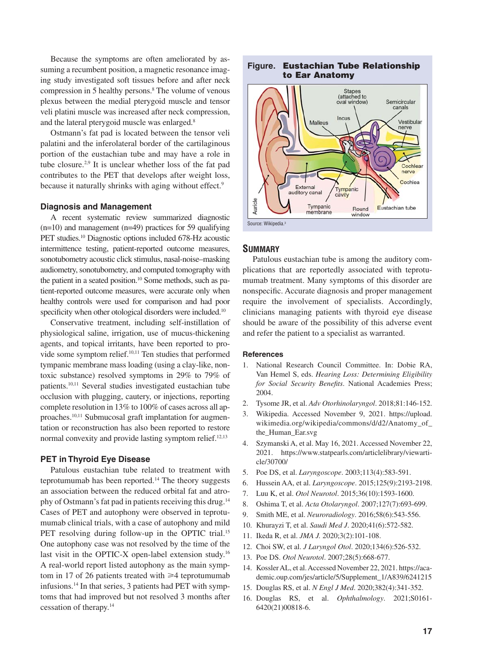Because the symptoms are often ameliorated by assuming a recumbent position, a magnetic resonance imaging study investigated soft tissues before and after neck compression in 5 healthy persons.8 The volume of venous plexus between the medial pterygoid muscle and tensor veli platini muscle was increased after neck compression, and the lateral pterygoid muscle was enlarged.8

Ostmann's fat pad is located between the tensor veli palatini and the inferolateral border of the cartilaginous portion of the eustachian tube and may have a role in tube closure.2,9 It is unclear whether loss of the fat pad contributes to the PET that develops after weight loss, because it naturally shrinks with aging without effect.<sup>9</sup>

#### **Diagnosis and Management**

A recent systematic review summarized diagnostic (n=10) and management (n=49) practices for 59 qualifying PET studies.<sup>10</sup> Diagnostic options included 678-Hz acoustic intermittence testing, patient-reported outcome measures, sonotubometry acoustic click stimulus, nasal-noise–masking audiometry, sonotubometry, and computed tomography with the patient in a seated position.<sup>10</sup> Some methods, such as patient-reported outcome measures, were accurate only when healthy controls were used for comparison and had poor specificity when other otological disorders were included.<sup>10</sup>

Conservative treatment, including self-instillation of physiological saline, irrigation, use of mucus-thickening agents, and topical irritants, have been reported to provide some symptom relief.<sup>10,11</sup> Ten studies that performed tympanic membrane mass loading (using a clay-like, nontoxic substance) resolved symptoms in 29% to 79% of patients.10,11 Several studies investigated eustachian tube occlusion with plugging, cautery, or injections, reporting complete resolution in 13% to 100% of cases across all approaches.10,11 Submucosal graft implantation for augmentation or reconstruction has also been reported to restore normal convexity and provide lasting symptom relief.<sup>12,13</sup>

#### **PET in Thyroid Eye Disease**

Patulous eustachian tube related to treatment with teprotumumab has been reported.14 The theory suggests an association between the reduced orbital fat and atrophy of Ostmann's fat pad in patients receiving this drug.14 Cases of PET and autophony were observed in teprotumumab clinical trials, with a case of autophony and mild PET resolving during follow-up in the OPTIC trial.<sup>15</sup> One autophony case was not resolved by the time of the last visit in the OPTIC-X open-label extension study.16 A real-world report listed autophony as the main symptom in 17 of 26 patients treated with  $\geq 4$  teprotumumab infusions.14 In that series, 3 patients had PET with symptoms that had improved but not resolved 3 months after cessation of therapy.14

#### **Figure. Eustachian Tube Relationship to Ear Anatomy**



#### **SUMMARY**

Patulous eustachian tube is among the auditory complications that are reportedly associated with teprotumumab treatment. Many symptoms of this disorder are nonspecific. Accurate diagnosis and proper management require the involvement of specialists. Accordingly, clinicians managing patients with thyroid eye disease should be aware of the possibility of this adverse event and refer the patient to a specialist as warranted.

#### **References**

- 1. National Research Council Committee. In: Dobie RA, Van Hemel S, eds. *Hearing Loss: Determining Eligibility*  for Social Security Benefits. National Academies Press; 2004.
- 2. Tysome JR, et al. *Adv Otorhinolaryngol*. 2018;81:146-152.
- 3. Wikipedia. Accessed November 9, 2021. https://upload. wikimedia.org/wikipedia/commons/d/d2/Anatomy\_of\_ the\_Human\_Ear.svg
- 4. Szymanski A, et al. May 16, 2021. Accessed November 22, 2021. https://www.statpearls.com/articlelibrary/viewarticle/30700/
- 5. Poe DS, et al. *Laryngoscope*. 2003;113(4):583-591.
- 6. Hussein AA, et al. *Laryngoscope*. 2015;125(9):2193-2198.
- 7. Luu K, et al. *Otol Neurotol*. 2015;36(10):1593-1600.
- 8. Oshima T, et al. *Acta Otolaryngol*. 2007;127(7):693-699.
- 9. Smith ME, et al. *Neuroradiology*. 2016;58(6):543-556.
- 10. Khurayzi T, et al. *Saudi Med J*. 2020;41(6):572-582.
- 11. Ikeda R, et al. *JMA J.* 2020;3(2):101-108.
- 12. Choi SW, et al. *J Laryngol Otol*. 2020;134(6):526-532.
- 13. Poe DS. *Otol Neurotol*. 2007;28(5):668-677.
- 14. Kossler AL, et al. Accessed November 22, 2021. https://academic.oup.com/jes/article/5/Supplement\_1/A839/6241215
- 15. Douglas RS, et al. *N Engl J Med*. 2020;382(4):341-352.
- 16. Douglas RS, et al. *Ophthalmology*. 2021;S0161- 6420(21)00818-6.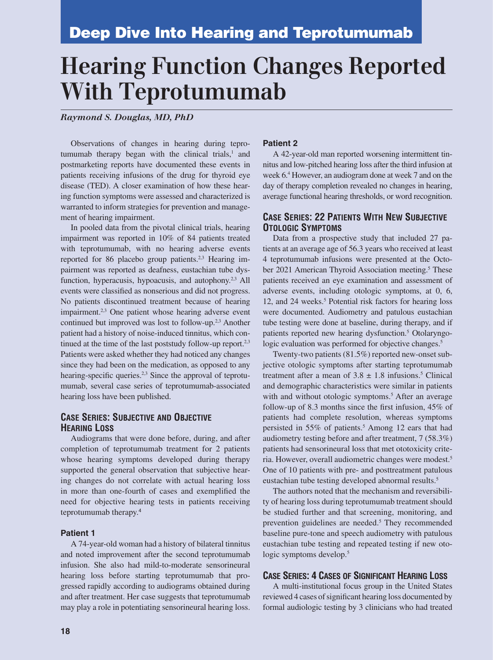# **Hearing Function Changes Reported With Teprotumumab**

*Raymond S. Douglas, MD, PhD*

Observations of changes in hearing during teprotumumab therapy began with the clinical trials, $<sup>1</sup>$  and</sup> postmarketing reports have documented these events in patients receiving infusions of the drug for thyroid eye disease (TED). A closer examination of how these hearing function symptoms were assessed and characterized is warranted to inform strategies for prevention and management of hearing impairment.

In pooled data from the pivotal clinical trials, hearing impairment was reported in 10% of 84 patients treated with teprotumumab, with no hearing adverse events reported for 86 placebo group patients.<sup>2,3</sup> Hearing impairment was reported as deafness, eustachian tube dysfunction, hyperacusis, hypoacusis, and autophony.<sup>2,3</sup> All events were classified as nonserious and did not progress. No patients discontinued treatment because of hearing impairment.<sup>2,3</sup> One patient whose hearing adverse event continued but improved was lost to follow-up.<sup>2,3</sup> Another patient had a history of noise-induced tinnitus, which continued at the time of the last poststudy follow-up report. $2,3$ Patients were asked whether they had noticed any changes since they had been on the medication, as opposed to any hearing-specific queries.<sup>2,3</sup> Since the approval of teprotumumab, several case series of teprotumumab-associated hearing loss have been published.

#### **CASE SERIES: SUBJECTIVE AND OBJECTIVE HEARING LOSS**

Audiograms that were done before, during, and after completion of teprotumumab treatment for 2 patients whose hearing symptoms developed during therapy supported the general observation that subjective hearing changes do not correlate with actual hearing loss in more than one-fourth of cases and exemplified the need for objective hearing tests in patients receiving teprotumumab therapy.<sup>4</sup>

#### **Patient 1**

A 74-year-old woman had a history of bilateral tinnitus and noted improvement after the second teprotumumab infusion. She also had mild-to-moderate sensorineural hearing loss before starting teprotumumab that progressed rapidly according to audiograms obtained during and after treatment. Her case suggests that teprotumumab may play a role in potentiating sensorineural hearing loss.

#### **Patient 2**

A 42-year-old man reported worsening intermittent tinnitus and low-pitched hearing loss after the third infusion at week 6.4 However, an audiogram done at week 7 and on the day of therapy completion revealed no changes in hearing, average functional hearing thresholds, or word recognition.

#### **CASE SERIES: 22 PATIENTS WITH NEW SUBJECTIVE OTOLOGIC SYMPTOMS**

Data from a prospective study that included 27 patients at an average age of 56.3 years who received at least 4 teprotumumab infusions were presented at the October 2021 American Thyroid Association meeting.<sup>5</sup> These patients received an eye examination and assessment of adverse events, including otologic symptoms, at 0, 6, 12, and 24 weeks.<sup>5</sup> Potential risk factors for hearing loss were documented. Audiometry and patulous eustachian tube testing were done at baseline, during therapy, and if patients reported new hearing dysfunction.<sup>5</sup> Otolaryngologic evaluation was performed for objective changes.<sup>5</sup>

Twenty-two patients (81.5%) reported new-onset subjective otologic symptoms after starting teprotumumab treatment after a mean of  $3.8 \pm 1.8$  infusions.<sup>5</sup> Clinical and demographic characteristics were similar in patients with and without otologic symptoms.<sup>5</sup> After an average follow-up of 8.3 months since the first infusion,  $45\%$  of patients had complete resolution, whereas symptoms persisted in 55% of patients.<sup>5</sup> Among 12 ears that had audiometry testing before and after treatment, 7 (58.3%) patients had sensorineural loss that met ototoxicity criteria. However, overall audiometric changes were modest.5 One of 10 patients with pre- and posttreatment patulous eustachian tube testing developed abnormal results.5

The authors noted that the mechanism and reversibility of hearing loss during teprotumumab treatment should be studied further and that screening, monitoring, and prevention guidelines are needed.<sup>5</sup> They recommended baseline pure-tone and speech audiometry with patulous eustachian tube testing and repeated testing if new otologic symptoms develop.<sup>5</sup>

#### **CASE SERIES: 4 CASES OF SIGNIFICANT HEARING LOSS**

A multi-institutional focus group in the United States reviewed 4 cases of significant hearing loss documented by formal audiologic testing by 3 clinicians who had treated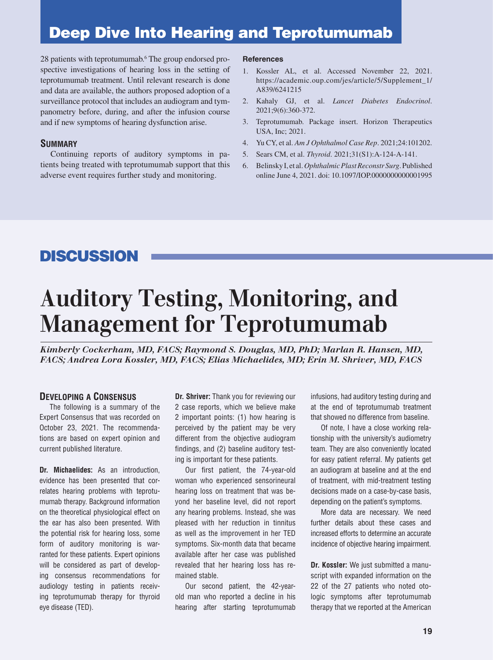## **Deep Dive Into Hearing and Teprotumumab**

28 patients with teprotumumab.<sup>6</sup> The group endorsed prospective investigations of hearing loss in the setting of teprotumumab treatment. Until relevant research is done and data are available, the authors proposed adoption of a surveillance protocol that includes an audiogram and tympanometry before, during, and after the infusion course and if new symptoms of hearing dysfunction arise.

#### **SUMMARY**

Continuing reports of auditory symptoms in patients being treated with teprotumumab support that this adverse event requires further study and monitoring.

#### **References**

- 1. Kossler AL, et al. Accessed November 22, 2021. https://academic.oup.com/jes/article/5/Supplement\_1/ A839/6241215
- 2. Kahaly GJ, et al. *Lancet Diabetes Endocrinol*. 2021;9(6):360-372.
- 3. Teprotumumab. Package insert. Horizon Therapeutics USA, Inc; 2021.
- 4. Yu CY, et al. *Am J Ophthalmol Case Rep*. 2021;24:101202.
- 5. Sears CM, et al. *Thyroid*. 2021;31(S1):A-124-A-141.
- 6. Belinsky I, et al. *Ophthalmic Plast Reconstr Surg*. Published online June 4, 2021. doi: 10.1097/IOP.0000000000001995

## **DISCUSSION**

# **Auditory Testing, Monitoring, and Management for Teprotumumab**

*Kimberly Cockerham, MD, FACS; Raymond S. Douglas, MD, PhD; Marlan R. Hansen, MD, FACS; Andrea Lora Kossler, MD, FACS; Elias Michaelides, MD; Erin M. Shriver, MD, FACS*

#### **DEVELOPING A CONSENSUS**

The following is a summary of the Expert Consensus that was recorded on October 23, 2021. The recommendations are based on expert opinion and current published literature.

**Dr. Michaelides:** As an introduction, evidence has been presented that correlates hearing problems with teprotumumab therapy. Background information on the theoretical physiological effect on the ear has also been presented. With the potential risk for hearing loss, some form of auditory monitoring is warranted for these patients. Expert opinions will be considered as part of developing consensus recommendations for audiology testing in patients receiving teprotumumab therapy for thyroid eye disease (TED).

**Dr. Shriver:** Thank you for reviewing our 2 case reports, which we believe make 2 important points: (1) how hearing is perceived by the patient may be very different from the objective audiogram findings, and (2) baseline auditory testing is important for these patients.

Our first patient, the 74-year-old woman who experienced sensorineural hearing loss on treatment that was beyond her baseline level, did not report any hearing problems. Instead, she was pleased with her reduction in tinnitus as well as the improvement in her TED symptoms. Six-month data that became available after her case was published revealed that her hearing loss has remained stable.

Our second patient, the 42-yearold man who reported a decline in his hearing after starting teprotumumab infusions, had auditory testing during and at the end of teprotumumab treatment that showed no difference from baseline.

Of note, I have a close working relationship with the university's audiometry team. They are also conveniently located for easy patient referral. My patients get an audiogram at baseline and at the end of treatment, with mid-treatment testing decisions made on a case-by-case basis, depending on the patient's symptoms.

More data are necessary. We need further details about these cases and increased efforts to determine an accurate incidence of objective hearing impairment.

**Dr. Kossler:** We just submitted a manuscript with expanded information on the 22 of the 27 patients who noted otologic symptoms after teprotumumab therapy that we reported at the American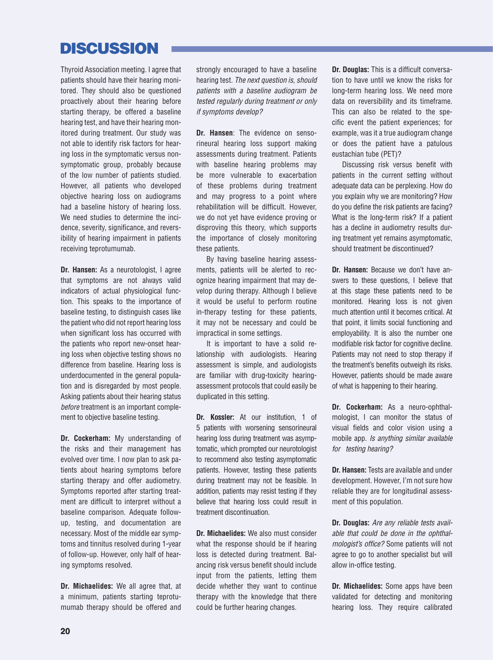## **DISCUSSION**

Thyroid Association meeting. I agree that patients should have their hearing monitored. They should also be questioned proactively about their hearing before starting therapy, be offered a baseline hearing test, and have their hearing monitored during treatment. Our study was not able to identify risk factors for hearing loss in the symptomatic versus nonsymptomatic group, probably because of the low number of patients studied. However, all patients who developed objective hearing loss on audiograms had a baseline history of hearing loss. We need studies to determine the incidence, severity, significance, and reversibility of hearing impairment in patients receiving teprotumumab.

**Dr. Hansen:** As a neurotologist, I agree that symptoms are not always valid indicators of actual physiological function. This speaks to the importance of baseline testing, to distinguish cases like the patient who did not report hearing loss when significant loss has occurred with the patients who report new-onset hearing loss when objective testing shows no difference from baseline. Hearing loss is underdocumented in the general population and is disregarded by most people. Asking patients about their hearing status *before* treatment is an important complement to objective baseline testing.

**Dr. Cockerham:** My understanding of the risks and their management has evolved over time. I now plan to ask patients about hearing symptoms before starting therapy and offer audiometry. Symptoms reported after starting treatment are difficult to interpret without a baseline comparison. Adequate followup, testing, and documentation are necessary. Most of the middle ear symptoms and tinnitus resolved during 1-year of follow-up. However, only half of hearing symptoms resolved.

**Dr. Michaelides:** We all agree that, at a minimum, patients starting teprotumumab therapy should be offered and

strongly encouraged to have a baseline hearing test. *The next question is, should patients with a baseline audiogram be tested regularly during treatment or only if symptoms develop?*

**Dr. Hansen**: The evidence on sensorineural hearing loss support making assessments during treatment. Patients with baseline hearing problems may be more vulnerable to exacerbation of these problems during treatment and may progress to a point where rehabilitation will be difficult. However, we do not yet have evidence proving or disproving this theory, which supports the importance of closely monitoring these patients.

By having baseline hearing assessments, patients will be alerted to recognize hearing impairment that may develop during therapy. Although I believe it would be useful to perform routine in-therapy testing for these patients, it may not be necessary and could be impractical in some settings.

It is important to have a solid relationship with audiologists. Hearing assessment is simple, and audiologists are familiar with drug-toxicity hearingassessment protocols that could easily be duplicated in this setting.

**Dr. Kossler:** At our institution, 1 of 5 patients with worsening sensorineural hearing loss during treatment was asymptomatic, which prompted our neurotologist to recommend also testing asymptomatic patients. However, testing these patients during treatment may not be feasible. In addition, patients may resist testing if they believe that hearing loss could result in treatment discontinuation.

**Dr. Michaelides:** We also must consider what the response should be if hearing loss is detected during treatment. Balancing risk versus benefit should include input from the patients, letting them decide whether they want to continue therapy with the knowledge that there could be further hearing changes.

**Dr. Douglas:** This is a difficult conversation to have until we know the risks for long-term hearing loss. We need more data on reversibility and its timeframe. This can also be related to the specific event the patient experiences; for example, was it a true audiogram change or does the patient have a patulous eustachian tube (PET)?

Discussing risk versus benefit with patients in the current setting without adequate data can be perplexing. How do you explain why we are monitoring? How do you define the risk patients are facing? What is the long-term risk? If a patient has a decline in audiometry results during treatment yet remains asymptomatic, should treatment be discontinued?

**Dr. Hansen:** Because we don't have answers to these questions, I believe that at this stage these patients need to be monitored. Hearing loss is not given much attention until it becomes critical. At that point, it limits social functioning and employability. It is also the number one modifiable risk factor for cognitive decline. Patients may not need to stop therapy if the treatment's benefits outweigh its risks. However, patients should be made aware of what is happening to their hearing.

**Dr. Cockerham:** As a neuro-ophthalmologist, I can monitor the status of visual fields and color vision using a mobile app. *Is anything similar available for testing hearing?*

**Dr. Hansen:** Tests are available and under development. However, I'm not sure how reliable they are for longitudinal assessment of this population.

**Dr. Douglas:** *Are any reliable tests available that could be done in the ophthalmologist's office?* Some patients will not agree to go to another specialist but will allow in-office testing.

**Dr. Michaelides:** Some apps have been validated for detecting and monitoring hearing loss. They require calibrated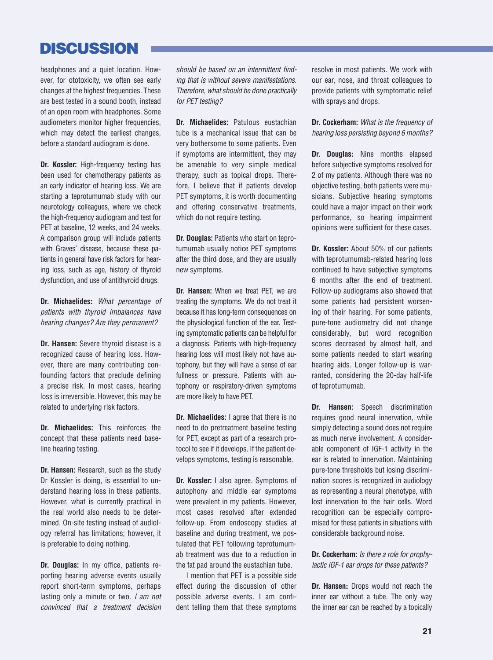## **DISCUSSION**

headphones and a quiet location. However, for ototoxicity, we often see early changes at the highest frequencies. These are best tested in a sound booth, instead of an open room with headphones. Some audiometers monitor higher frequencies, which may detect the earliest changes, before a standard audiogram is done.

**Dr. Kossler:** High-frequency testing has been used for chemotherapy patients as an early indicator of hearing loss. We are starting a teprotumumab study with our neurotology colleagues, where we check the high-frequency audiogram and test for PET at baseline, 12 weeks, and 24 weeks. A comparison group will include patients with Graves' disease, because these patients in general have risk factors for hearing loss, such as age, history of thyroid dysfunction, and use of antithyroid drugs.

**Dr. Michaelides:** *What percentage of patients with thyroid imbalances have hearing changes? Are they permanent?*

**Dr. Hansen:** Severe thyroid disease is a recognized cause of hearing loss. However, there are many contributing confounding factors that preclude defining a precise risk. In most cases, hearing loss is irreversible. However, this may be related to underlying risk factors.

**Dr. Michaelides:** This reinforces the concept that these patients need baseline hearing testing.

**Dr. Hansen: Research, such as the study** Dr Kossler is doing, is essential to understand hearing loss in these patients. However, what is currently practical in the real world also needs to be determined. On-site testing instead of audiology referral has limitations; however, it is preferable to doing nothing.

**Dr. Douglas:** In my office, patients reporting hearing adverse events usually report short-term symptoms, perhaps lasting only a minute or two. *I am not convinced that a treatment decision*  should be based on an intermittent find*ing that is without severe manifestations. Therefore, what should be done practically for PET testing?*

**Dr. Michaelides:** Patulous eustachian tube is a mechanical issue that can be very bothersome to some patients. Even if symptoms are intermittent, they may be amenable to very simple medical therapy, such as topical drops. Therefore, I believe that if patients develop PET symptoms, it is worth documenting and offering conservative treatments, which do not require testing.

**Dr. Douglas:** Patients who start on teprotumumab usually notice PET symptoms after the third dose, and they are usually new symptoms.

**Dr. Hansen:** When we treat PET, we are treating the symptoms. We do not treat it because it has long-term consequences on the physiological function of the ear. Testing symptomatic patients can be helpful for a diagnosis. Patients with high-frequency hearing loss will most likely not have autophony, but they will have a sense of ear fullness or pressure. Patients with autophony or respiratory-driven symptoms are more likely to have PET.

**Dr. Michaelides:** I agree that there is no need to do pretreatment baseline testing for PET, except as part of a research protocol to see if it develops. If the patient develops symptoms, testing is reasonable.

**Dr. Kossler:** I also agree. Symptoms of autophony and middle ear symptoms were prevalent in my patients. However, most cases resolved after extended follow-up. From endoscopy studies at baseline and during treatment, we postulated that PET following teprotumumab treatment was due to a reduction in the fat pad around the eustachian tube.

I mention that PET is a possible side effect during the discussion of other possible adverse events. I am confident telling them that these symptoms

resolve in most patients. We work with our ear, nose, and throat colleagues to provide patients with symptomatic relief with sprays and drops.

**Dr. Cockerham:** *What is the frequency of hearing loss persisting beyond 6 months?*

**Dr. Douglas:** Nine months elapsed before subjective symptoms resolved for 2 of my patients. Although there was no objective testing, both patients were musicians. Subjective hearing symptoms could have a major impact on their work performance, so hearing impairment opinions were sufficient for these cases.

**Dr. Kossler:** About 50% of our patients with teprotumumab-related hearing loss continued to have subjective symptoms 6 months after the end of treatment. Follow-up audiograms also showed that some patients had persistent worsening of their hearing. For some patients, pure-tone audiometry did not change considerably, but word recognition scores decreased by almost half, and some patients needed to start wearing hearing aids. Longer follow-up is warranted, considering the 20-day half-life of teprotumumab.

**Dr. Hansen:** Speech discrimination requires good neural innervation, while simply detecting a sound does not require as much nerve involvement. A considerable component of IGF-1 activity in the ear is related to innervation. Maintaining pure-tone thresholds but losing discrimination scores is recognized in audiology as representing a neural phenotype, with lost innervation to the hair cells. Word recognition can be especially compromised for these patients in situations with considerable background noise.

**Dr. Cockerham:** *Is there a role for prophylactic IGF-1 ear drops for these patients?*

**Dr. Hansen:** Drops would not reach the inner ear without a tube. The only way the inner ear can be reached by a topically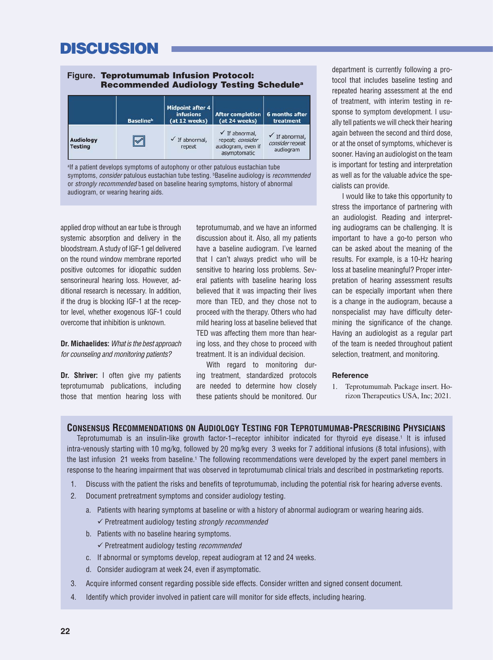## **DISCUSSION**

|                                    |                              | <b>Midpoint after 4</b><br><i>infusions</i> | <b>After completion</b>                                                             | 6 months after                                            |
|------------------------------------|------------------------------|---------------------------------------------|-------------------------------------------------------------------------------------|-----------------------------------------------------------|
|                                    | <b>Baseline</b> <sup>b</sup> | (at 12 weeks)                               | (at 24 weeks)                                                                       | treatment                                                 |
| <b>Audiology</b><br><b>Testing</b> |                              | If abnormal,<br>repeat                      | $\checkmark$ If abnormal,<br>repeat; consider<br>audiogram, even if<br>asymptomatic | $\checkmark$ If abnormal,<br>consider repeat<br>audiogram |

audiogram, or wearing hearing aids.

applied drop without an ear tube is through systemic absorption and delivery in the bloodstream. A study of IGF-1 gel delivered on the round window membrane reported positive outcomes for idiopathic sudden sensorineural hearing loss. However, additional research is necessary. In addition, if the drug is blocking IGF-1 at the receptor level, whether exogenous IGF-1 could overcome that inhibition is unknown.

#### **Dr. Michaelides:** *What is the best approach for counseling and monitoring patients?*

**Dr. Shriver:** I often give my patients teprotumumab publications, including those that mention hearing loss with

teprotumumab, and we have an informed discussion about it. Also, all my patients have a baseline audiogram. I've learned that I can't always predict who will be sensitive to hearing loss problems. Several patients with baseline hearing loss believed that it was impacting their lives more than TED, and they chose not to proceed with the therapy. Others who had mild hearing loss at baseline believed that TED was affecting them more than hearing loss, and they chose to proceed with treatment. It is an individual decision.

With regard to monitoring during treatment, standardized protocols are needed to determine how closely these patients should be monitored. Our department is currently following a protocol that includes baseline testing and repeated hearing assessment at the end of treatment, with interim testing in response to symptom development. I usually tell patients we will check their hearing again between the second and third dose, or at the onset of symptoms, whichever is sooner. Having an audiologist on the team is important for testing and interpretation as well as for the valuable advice the specialists can provide.

I would like to take this opportunity to stress the importance of partnering with an audiologist. Reading and interpreting audiograms can be challenging. It is important to have a go-to person who can be asked about the meaning of the results. For example, is a 10-Hz hearing loss at baseline meaningful? Proper interpretation of hearing assessment results can be especially important when there is a change in the audiogram, because a nonspecialist may have difficulty determining the significance of the change. Having an audiologist as a regular part of the team is needed throughout patient selection, treatment, and monitoring.

#### **Reference**

1. Teprotumumab. Package insert. Horizon Therapeutics USA, Inc; 2021.

#### **CONSENSUS RECOMMENDATIONS ON AUDIOLOGY TESTING FOR TEPROTUMUMAB-PRESCRIBING PHYSICIANS**

Teprotumumab is an insulin-like growth factor-1–receptor inhibitor indicated for thyroid eye disease.1 It is infused intra-venously starting with 10 mg/kg, followed by 20 mg/kg every 3 weeks for 7 additional infusions (8 total infusions), with the last infusion 21 weeks from baseline.<sup>1</sup> The following recommendations were developed by the expert panel members in response to the hearing impairment that was observed in teprotumumab clinical trials and described in postmarketing reports.

- 1. Discuss with the patient the risks and benefits of teprotumumab, including the potential risk for hearing adverse events.
- 2. Document pretreatment symptoms and consider audiology testing.
	- a. Patients with hearing symptoms at baseline or with a history of abnormal audiogram or wearing hearing aids. Pretreatment audiology testing *strongly recommended*
	- b. Patients with no baseline hearing symptoms.
		- Pretreatment audiology testing *recommended*
	- c. If abnormal or symptoms develop, repeat audiogram at 12 and 24 weeks.
	- d. Consider audiogram at week 24, even if asymptomatic.
- 3. Acquire informed consent regarding possible side effects. Consider written and signed consent document.
- 4. Identify which provider involved in patient care will monitor for side effects, including hearing.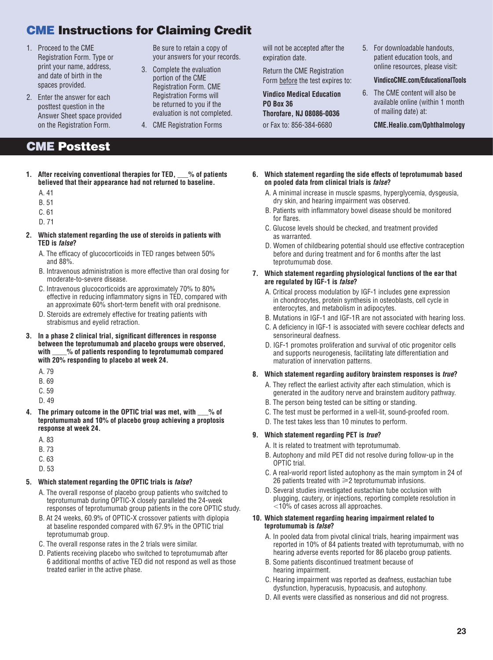## **CME Instructions for Claiming Credit**

- 1. Proceed to the CME Registration Form. Type or print your name, address, and date of birth in the spaces provided.
- 2. Enter the answer for each posttest question in the Answer Sheet space provided on the Registration Form.

Be sure to retain a copy of your answers for your records.

- 3. Complete the evaluation portion of the CME Registration Form. CME Registration Forms will be returned to you if the evaluation is not completed.
- 4. CME Registration Forms

will not be accepted after the expiration date.

Return the CME Registration Form before the test expires to:

**Vindico Medical Education PO Box 36 Thorofare, NJ 08086-0036** or Fax to: 856-384-6680

5. For downloadable handouts, patient education tools, and online resources, please visit:

#### **VindicoCME.com/EducationalTools**

6. The CME content will also be available online (within 1 month of mailing date) at:

**CME.Healio.com/Ophthalmology**

## **CME Posttest**

**1. After receiving conventional therapies for TED, \_\_\_% of patients believed that their appearance had not returned to baseline.**

A. 41

- B. 51
- C. 61
- D. 71
- **2. Which statement regarding the use of steroids in patients with TED is** *false***?**
	- A. The efficacy of glucocorticoids in TED ranges between 50% and 88%.
	- B. Intravenous administration is more effective than oral dosing for moderate-to-severe disease.
	- C. Intravenous glucocorticoids are approximately 70% to 80% effective in reducing inflammatory signs in TED, compared with an approximate 60% short-term benefit with oral prednisone.
	- D. Steroids are extremely effective for treating patients with strabismus and eyelid retraction.
- **3.** In a phase 2 clinical trial, significant differences in response **between the teprotumumab and placebo groups were observed, with \_\_\_\_% of patients responding to teprotumumab compared with 20% responding to placebo at week 24.**
	- A. 79
	- B. 69
	- C. 59
	- D. 49
- **4. The primary outcome in the OPTIC trial was met, with \_\_\_% of teprotumumab and 10% of placebo group achieving a proptosis response at week 24.**
	- A. 83
	- B. 73
	- C. 63
	- D. 53
- **5. Which statement regarding the OPTIC trials is** *false***?**
	- A. The overall response of placebo group patients who switched to teprotumumab during OPTIC-X closely paralleled the 24-week responses of teprotumumab group patients in the core OPTIC study.
	- B. At 24 weeks, 60.9% of OPTIC-X crossover patients with diplopia at baseline responded compared with 67.9% in the OPTIC trial teprotumumab group.
	- C. The overall response rates in the 2 trials were similar.
	- D. Patients receiving placebo who switched to teprotumumab after 6 additional months of active TED did not respond as well as those treated earlier in the active phase.
- **6. Which statement regarding the side effects of teprotumumab based on pooled data from clinical trials is** *false***?**
	- A. A minimal increase in muscle spasms, hyperglycemia, dysgeusia, dry skin, and hearing impairment was observed.
	- B. Patients with inflammatory bowel disease should be monitored for flares.
	- C. Glucose levels should be checked, and treatment provided as warranted.
	- D. Women of childbearing potential should use effective contraception before and during treatment and for 6 months after the last teprotumumab dose.
- **7. Which statement regarding physiological functions of the ear that are regulated by IGF-1 is** *false***?**
	- A. Critical process modulation by IGF-1 includes gene expression in chondrocytes, protein synthesis in osteoblasts, cell cycle in enterocytes, and metabolism in adipocytes.
	- B. Mutations in IGF-1 and IGF-1R are not associated with hearing loss.
	- C. A deficiency in IGF-1 is associated with severe cochlear defects and sensorineural deafness.
	- D. IGF-1 promotes proliferation and survival of otic progenitor cells and supports neurogenesis, facilitating late differentiation and maturation of innervation patterns.
- **8. Which statement regarding auditory brainstem responses is** *true***?**
	- A. They reflect the earliest activity after each stimulation, which is generated in the auditory nerve and brainstem auditory pathway.
	- B. The person being tested can be sitting or standing.
	- C. The test must be performed in a well-lit, sound-proofed room.
	- D. The test takes less than 10 minutes to perform.

#### **9. Which statement regarding PET is** *true***?**

- A. It is related to treatment with teprotumumab.
- B. Autophony and mild PET did not resolve during follow-up in the OPTIC trial.
- C. A real-world report listed autophony as the main symptom in 24 of 26 patients treated with  $\geqslant$ 2 teprotumumab infusions.
- D. Several studies investigated eustachian tube occlusion with plugging, cautery, or injections, reporting complete resolution in  $10\%$  of cases across all approaches.

#### **10. Which statement regarding hearing impairment related to teprotumumab is** *false***?**

- A. In pooled data from pivotal clinical trials, hearing impairment was reported in 10% of 84 patients treated with teprotumumab, with no hearing adverse events reported for 86 placebo group patients.
- B. Some patients discontinued treatment because of hearing impairment.
- C. Hearing impairment was reported as deafness, eustachian tube dysfunction, hyperacusis, hypoacusis, and autophony.
- D. All events were classified as nonserious and did not progress.